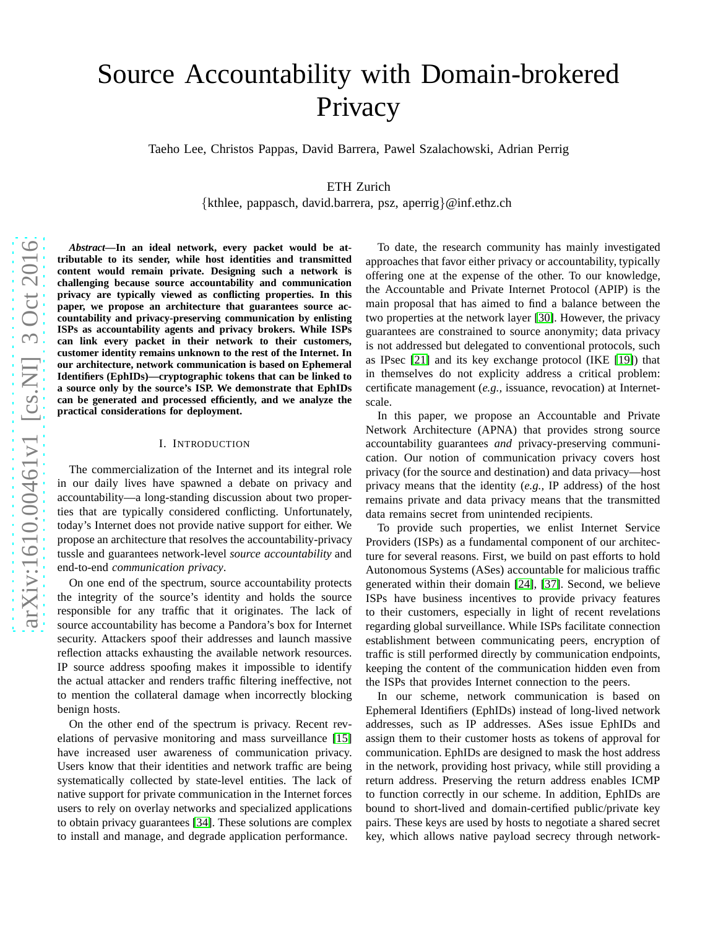# Source Accountability with Domain-brokered **Privacy**

Taeho Lee, Christos Pappas, David Barrera, Pawel Szalachowski, Adrian Perrig

ETH Zurich

{kthlee, pappasch, david.barrera, psz, aperrig }@inf.ethz.ch

*Abstract***—In an ideal network, every packet would be attributable to its sender, while host identities and transmitted content would remain private. Designing such a network is challenging because source accountability and communication privacy are typically viewed as conflicting properties. In this paper, we propose an architecture that guarantees source ac countability and privacy-preserving communication by enlisting ISPs as accountability agents and privacy brokers. While ISPs can link every packet in their network to their customers, customer identity remains unknown to the rest of the Internet. In our architecture, network communication is based on Ephemeral Identifiers (EphIDs)—cryptographic tokens that can be linked to a source only by the source's ISP. We demonstrate that EphIDs can be generated and processed efficiently, and we analyze th e practical considerations for deployment.**

## I. INTRODUCTION

The commercialization of the Internet and its integral role in our daily lives have spawned a debate on privacy and accountability—a long-standing discussion about two properties that are typically considered conflicting. Unfortunately, today's Internet does not provide native support for either. We propose an architecture that resolves the accountability-privacy tussle and guarantees network-level *source accountability* and end-to-end *communication privacy* .

On one end of the spectrum, source accountability protects the integrity of the source's identity and holds the source responsible for any traffic that it originates. The lack of source accountability has become a Pandora's box for Internet security. Attackers spoof their addresses and launch massive reflection attacks exhausting the available network resources. IP source address spoofing makes it impossible to identify the actual attacker and renders traffic filtering ineffective, not to mention the collateral damage when incorrectly blocking benign hosts.

On the other end of the spectrum is privacy. Recent revelations of pervasive monitoring and mass surveillance [\[15\]](#page-15-0) have increased user awareness of communication privacy. Users know that their identities and network traffic are bein g systematically collected by state-level entities. The lack of native support for private communication in the Internet forces users to rely on overlay networks and specialized applications to obtain privacy guarantees [\[34\]](#page-16-0). These solutions are complex to install and manage, and degrade application performance .

To date, the research community has mainly investigated approaches that favor either privacy or accountability, typically offering one at the expense of the other. To our knowledge, the Accountable and Private Internet Protocol (APIP) is the main proposal that has aimed to find a balance between the two properties at the network layer [\[30\]](#page-15-1). However, the privacy guarantees are constrained to source anonymity; data privacy is not addressed but delegated to conventional protocols, such as IPsec [\[21\]](#page-15-2) and its key exchange protocol (IKE [\[19\]](#page-15-3)) that in themselves do not explicity address a critical problem: certificate management (*e.g.,* issuance, revocation) at Internetscale.

In this paper, we propose an Accountable and Private Network Architecture (APNA) that provides strong source accountability guarantees *and* privacy-preserving communication. Our notion of communication privacy covers host privacy (for the source and destination) and data privacy—host privacy means that the identity (*e.g.,* IP address) of the host remains private and data privacy means that the transmitted data remains secret from unintended recipients.

To provide such properties, we enlist Internet Service Providers (ISPs) as a fundamental component of our architec ture for several reasons. First, we build on past efforts to hold Autonomous Systems (ASes) accountable for malicious traffi c generated within their domain [\[24\]](#page-15-4), [\[37\]](#page-16-1). Second, we believ e ISPs have business incentives to provide privacy features to their customers, especially in light of recent revelations regarding global surveillance. While ISPs facilitate connection establishment between communicating peers, encryption of traffic is still performed directly by communication endpoints, keeping the content of the communication hidden even from the ISPs that provides Internet connection to the peers.

In our scheme, network communication is based on Ephemeral Identifiers (EphIDs) instead of long-lived network addresses, such as IP addresses. ASes issue EphIDs and assign them to their customer hosts as tokens of approval for communication. EphIDs are designed to mask the host address in the network, providing host privacy, while still providing a return address. Preserving the return address enables ICMP to function correctly in our scheme. In addition, EphIDs are bound to short-lived and domain-certified public/private key pairs. These keys are used by hosts to negotiate a shared secret key, which allows native payload secrecy through network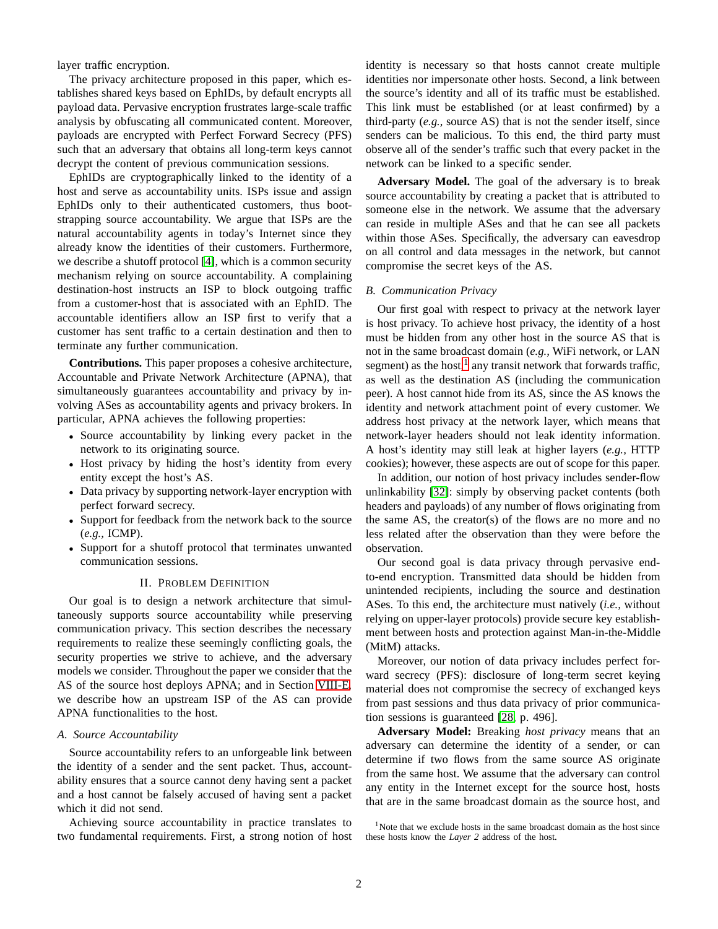layer traffic encryption.

The privacy architecture proposed in this paper, which establishes shared keys based on EphIDs, by default encrypts all payload data. Pervasive encryption frustrates large-scale traffic analysis by obfuscating all communicated content. Moreover, payloads are encrypted with Perfect Forward Secrecy (PFS) such that an adversary that obtains all long-term keys cannot decrypt the content of previous communication sessions.

EphIDs are cryptographically linked to the identity of a host and serve as accountability units. ISPs issue and assign EphIDs only to their authenticated customers, thus bootstrapping source accountability. We argue that ISPs are the natural accountability agents in today's Internet since they already know the identities of their customers. Furthermore, we describe a shutoff protocol [\[4\]](#page-15-5), which is a common security mechanism relying on source accountability. A complaining destination-host instructs an ISP to block outgoing traffic from a customer-host that is associated with an EphID. The accountable identifiers allow an ISP first to verify that a customer has sent traffic to a certain destination and then to terminate any further communication.

**Contributions.** This paper proposes a cohesive architecture, Accountable and Private Network Architecture (APNA), that simultaneously guarantees accountability and privacy by involving ASes as accountability agents and privacy brokers. In particular, APNA achieves the following properties:

- Source accountability by linking every packet in the network to its originating source.
- Host privacy by hiding the host's identity from every entity except the host's AS.
- Data privacy by supporting network-layer encryption with perfect forward secrecy.
- Support for feedback from the network back to the source (*e.g.,* ICMP).
- Support for a shutoff protocol that terminates unwanted communication sessions.

## II. PROBLEM DEFINITION

Our goal is to design a network architecture that simultaneously supports source accountability while preserving communication privacy. This section describes the necessary requirements to realize these seemingly conflicting goals, the security properties we strive to achieve, and the adversary models we consider. Throughout the paper we consider that the AS of the source host deploys APNA; and in Section [VIII-E,](#page-13-0) we describe how an upstream ISP of the AS can provide APNA functionalities to the host.

## <span id="page-1-2"></span>*A. Source Accountability*

Source accountability refers to an unforgeable link between the identity of a sender and the sent packet. Thus, accountability ensures that a source cannot deny having sent a packet and a host cannot be falsely accused of having sent a packet which it did not send.

Achieving source accountability in practice translates to two fundamental requirements. First, a strong notion of host identity is necessary so that hosts cannot create multiple identities nor impersonate other hosts. Second, a link between the source's identity and all of its traffic must be established. This link must be established (or at least confirmed) by a third-party (*e.g.,* source AS) that is not the sender itself, since senders can be malicious. To this end, the third party must observe all of the sender's traffic such that every packet in the network can be linked to a specific sender.

**Adversary Model.** The goal of the adversary is to break source accountability by creating a packet that is attributed to someone else in the network. We assume that the adversary can reside in multiple ASes and that he can see all packets within those ASes. Specifically, the adversary can eavesdrop on all control and data messages in the network, but cannot compromise the secret keys of the AS.

## <span id="page-1-1"></span>*B. Communication Privacy*

Our first goal with respect to privacy at the network layer is host privacy. To achieve host privacy, the identity of a host must be hidden from any other host in the source AS that is not in the same broadcast domain (*e.g.,* WiFi network, or LAN segment) as the host,<sup>[1](#page-1-0)</sup> any transit network that forwards traffic, as well as the destination AS (including the communication peer). A host cannot hide from its AS, since the AS knows the identity and network attachment point of every customer. We address host privacy at the network layer, which means that network-layer headers should not leak identity information. A host's identity may still leak at higher layers (*e.g.,* HTTP cookies); however, these aspects are out of scope for this paper.

In addition, our notion of host privacy includes sender-flow unlinkability [\[32\]](#page-16-2): simply by observing packet contents (both headers and payloads) of any number of flows originating from the same AS, the creator(s) of the flows are no more and no less related after the observation than they were before the observation.

Our second goal is data privacy through pervasive endto-end encryption. Transmitted data should be hidden from unintended recipients, including the source and destination ASes. To this end, the architecture must natively (*i.e.,* without relying on upper-layer protocols) provide secure key establishment between hosts and protection against Man-in-the-Middle (MitM) attacks.

Moreover, our notion of data privacy includes perfect forward secrecy (PFS): disclosure of long-term secret keying material does not compromise the secrecy of exchanged keys from past sessions and thus data privacy of prior communication sessions is guaranteed [\[28,](#page-15-6) p. 496].

**Adversary Model:** Breaking *host privacy* means that an adversary can determine the identity of a sender, or can determine if two flows from the same source AS originate from the same host. We assume that the adversary can control any entity in the Internet except for the source host, hosts that are in the same broadcast domain as the source host, and

<span id="page-1-0"></span> $1$ Note that we exclude hosts in the same broadcast domain as the host since these hosts know the *Layer 2* address of the host.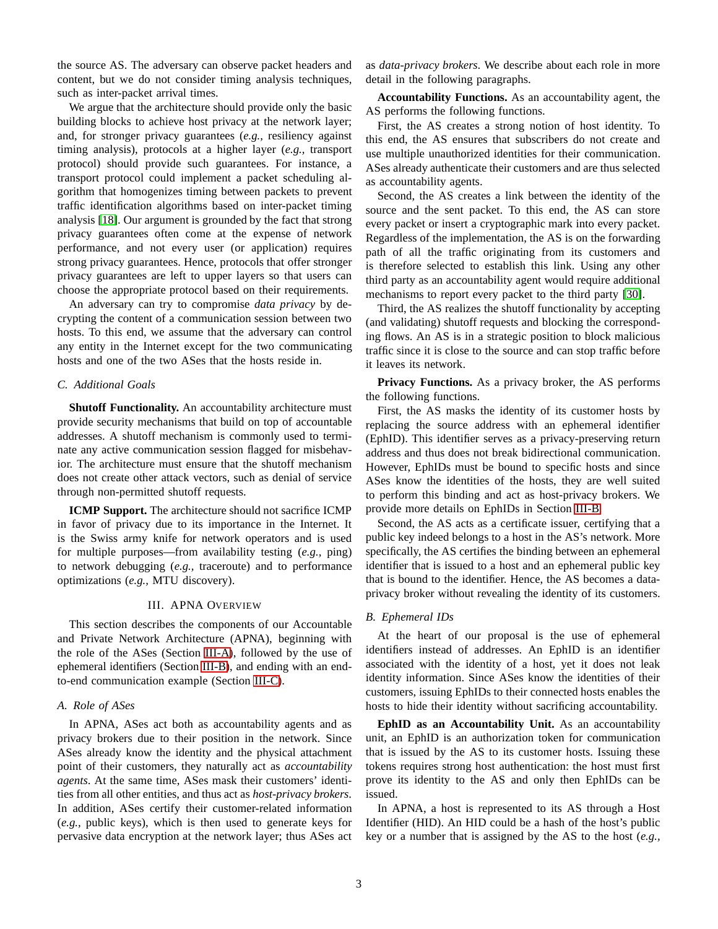the source AS. The adversary can observe packet headers and content, but we do not consider timing analysis techniques, such as inter-packet arrival times.

We argue that the architecture should provide only the basic building blocks to achieve host privacy at the network layer; and, for stronger privacy guarantees (*e.g.,* resiliency against timing analysis), protocols at a higher layer (*e.g.,* transport protocol) should provide such guarantees. For instance, a transport protocol could implement a packet scheduling algorithm that homogenizes timing between packets to prevent traffic identification algorithms based on inter-packet timing analysis [\[18\]](#page-15-7). Our argument is grounded by the fact that strong privacy guarantees often come at the expense of network performance, and not every user (or application) requires strong privacy guarantees. Hence, protocols that offer stronger privacy guarantees are left to upper layers so that users can choose the appropriate protocol based on their requirements.

An adversary can try to compromise *data privacy* by decrypting the content of a communication session between two hosts. To this end, we assume that the adversary can control any entity in the Internet except for the two communicating hosts and one of the two ASes that the hosts reside in.

## *C. Additional Goals*

**Shutoff Functionality.** An accountability architecture must provide security mechanisms that build on top of accountable addresses. A shutoff mechanism is commonly used to terminate any active communication session flagged for misbehavior. The architecture must ensure that the shutoff mechanism does not create other attack vectors, such as denial of service through non-permitted shutoff requests.

**ICMP Support.** The architecture should not sacrifice ICMP in favor of privacy due to its importance in the Internet. It is the Swiss army knife for network operators and is used for multiple purposes—from availability testing (*e.g.,* ping) to network debugging (*e.g.,* traceroute) and to performance optimizations (*e.g.,* MTU discovery).

## III. APNA OVERVIEW

This section describes the components of our Accountable and Private Network Architecture (APNA), beginning with the role of the ASes (Section [III-A\)](#page-2-0), followed by the use of ephemeral identifiers (Section [III-B\)](#page-2-1), and ending with an endto-end communication example (Section [III-C\)](#page-3-0).

#### <span id="page-2-0"></span>*A. Role of ASes*

In APNA, ASes act both as accountability agents and as privacy brokers due to their position in the network. Since ASes already know the identity and the physical attachment point of their customers, they naturally act as *accountability agents*. At the same time, ASes mask their customers' identities from all other entities, and thus act as *host-privacy brokers*. In addition, ASes certify their customer-related information (*e.g.,* public keys), which is then used to generate keys for pervasive data encryption at the network layer; thus ASes act

as *data-privacy brokers*. We describe about each role in more detail in the following paragraphs.

**Accountability Functions.** As an accountability agent, the AS performs the following functions.

First, the AS creates a strong notion of host identity. To this end, the AS ensures that subscribers do not create and use multiple unauthorized identities for their communication. ASes already authenticate their customers and are thus selected as accountability agents.

Second, the AS creates a link between the identity of the source and the sent packet. To this end, the AS can store every packet or insert a cryptographic mark into every packet. Regardless of the implementation, the AS is on the forwarding path of all the traffic originating from its customers and is therefore selected to establish this link. Using any other third party as an accountability agent would require additional mechanisms to report every packet to the third party [\[30\]](#page-15-1).

Third, the AS realizes the shutoff functionality by accepting (and validating) shutoff requests and blocking the corresponding flows. An AS is in a strategic position to block malicious traffic since it is close to the source and can stop traffic before it leaves its network.

**Privacy Functions.** As a privacy broker, the AS performs the following functions.

First, the AS masks the identity of its customer hosts by replacing the source address with an ephemeral identifier (EphID). This identifier serves as a privacy-preserving return address and thus does not break bidirectional communication. However, EphIDs must be bound to specific hosts and since ASes know the identities of the hosts, they are well suited to perform this binding and act as host-privacy brokers. We provide more details on EphIDs in Section [III-B.](#page-2-1)

Second, the AS acts as a certificate issuer, certifying that a public key indeed belongs to a host in the AS's network. More specifically, the AS certifies the binding between an ephemeral identifier that is issued to a host and an ephemeral public key that is bound to the identifier. Hence, the AS becomes a dataprivacy broker without revealing the identity of its customers.

## <span id="page-2-1"></span>*B. Ephemeral IDs*

At the heart of our proposal is the use of ephemeral identifiers instead of addresses. An EphID is an identifier associated with the identity of a host, yet it does not leak identity information. Since ASes know the identities of their customers, issuing EphIDs to their connected hosts enables the hosts to hide their identity without sacrificing accountability.

**EphID as an Accountability Unit.** As an accountability unit, an EphID is an authorization token for communication that is issued by the AS to its customer hosts. Issuing these tokens requires strong host authentication: the host must first prove its identity to the AS and only then EphIDs can be issued.

In APNA, a host is represented to its AS through a Host Identifier (HID). An HID could be a hash of the host's public key or a number that is assigned by the AS to the host (*e.g.,*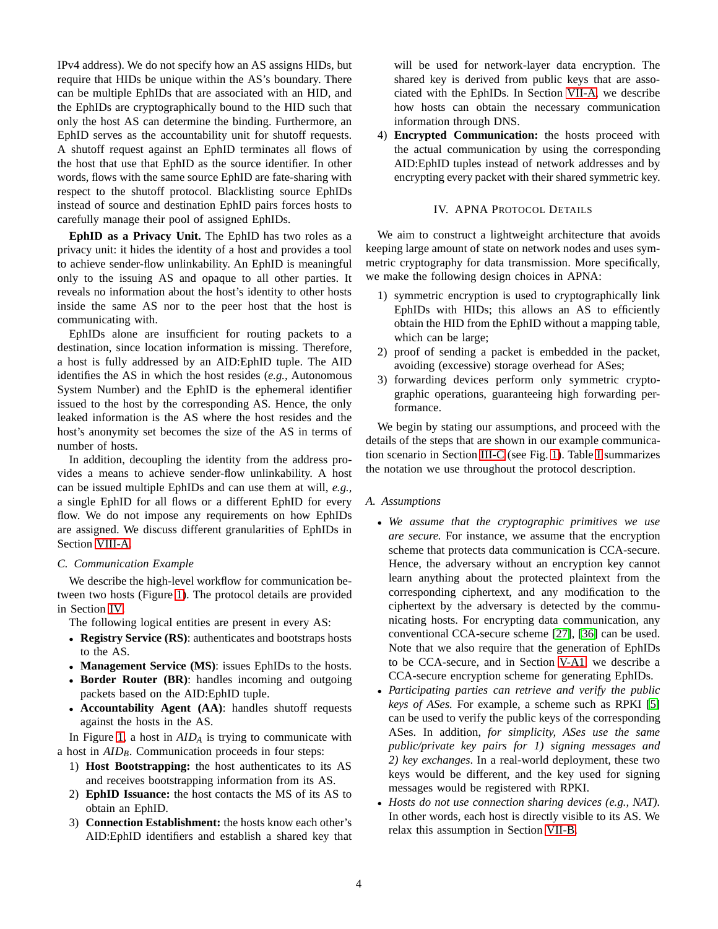IPv4 address). We do not specify how an AS assigns HIDs, but require that HIDs be unique within the AS's boundary. There can be multiple EphIDs that are associated with an HID, and the EphIDs are cryptographically bound to the HID such that only the host AS can determine the binding. Furthermore, an EphID serves as the accountability unit for shutoff requests. A shutoff request against an EphID terminates all flows of the host that use that EphID as the source identifier. In other words, flows with the same source EphID are fate-sharing with respect to the shutoff protocol. Blacklisting source EphIDs instead of source and destination EphID pairs forces hosts to carefully manage their pool of assigned EphIDs.

**EphID as a Privacy Unit.** The EphID has two roles as a privacy unit: it hides the identity of a host and provides a tool to achieve sender-flow unlinkability. An EphID is meaningful only to the issuing AS and opaque to all other parties. It reveals no information about the host's identity to other hosts inside the same AS nor to the peer host that the host is communicating with.

EphIDs alone are insufficient for routing packets to a destination, since location information is missing. Therefore, a host is fully addressed by an AID:EphID tuple. The AID identifies the AS in which the host resides (*e.g.,* Autonomous System Number) and the EphID is the ephemeral identifier issued to the host by the corresponding AS. Hence, the only leaked information is the AS where the host resides and the host's anonymity set becomes the size of the AS in terms of number of hosts.

In addition, decoupling the identity from the address provides a means to achieve sender-flow unlinkability. A host can be issued multiple EphIDs and can use them at will, *e.g.,* a single EphID for all flows or a different EphID for every flow. We do not impose any requirements on how EphIDs are assigned. We discuss different granularities of EphIDs in Section [VIII-A.](#page-12-0)

## <span id="page-3-0"></span>*C. Communication Example*

We describe the high-level workflow for communication between two hosts (Figure [1\)](#page-4-0). The protocol details are provided in Section [IV.](#page-3-1)

The following logical entities are present in every AS:

- **Registry Service (RS)**: authenticates and bootstraps hosts to the AS.
- **Management Service (MS)**: issues EphIDs to the hosts.
- **Border Router (BR)**: handles incoming and outgoing packets based on the AID:EphID tuple.
- **Accountability Agent (AA)**: handles shutoff requests against the hosts in the AS.

In Figure [1,](#page-4-0) a host in *AID<sup>A</sup>* is trying to communicate with a host in *AIDB*. Communication proceeds in four steps:

- 1) **Host Bootstrapping:** the host authenticates to its AS and receives bootstrapping information from its AS.
- 2) **EphID Issuance:** the host contacts the MS of its AS to obtain an EphID.
- 3) **Connection Establishment:** the hosts know each other's AID:EphID identifiers and establish a shared key that

will be used for network-layer data encryption. The shared key is derived from public keys that are associated with the EphIDs. In Section [VII-A,](#page-9-0) we describe how hosts can obtain the necessary communication information through DNS.

4) **Encrypted Communication:** the hosts proceed with the actual communication by using the corresponding AID:EphID tuples instead of network addresses and by encrypting every packet with their shared symmetric key.

## IV. APNA PROTOCOL DETAILS

<span id="page-3-1"></span>We aim to construct a lightweight architecture that avoids keeping large amount of state on network nodes and uses symmetric cryptography for data transmission. More specifically, we make the following design choices in APNA:

- 1) symmetric encryption is used to cryptographically link EphIDs with HIDs; this allows an AS to efficiently obtain the HID from the EphID without a mapping table, which can be large;
- 2) proof of sending a packet is embedded in the packet, avoiding (excessive) storage overhead for ASes;
- 3) forwarding devices perform only symmetric cryptographic operations, guaranteeing high forwarding performance.

We begin by stating our assumptions, and proceed with the details of the steps that are shown in our example communication scenario in Section [III-C](#page-3-0) (see Fig. [1\)](#page-4-0). Table [I](#page-4-1) summarizes the notation we use throughout the protocol description.

## *A. Assumptions*

- *We assume that the cryptographic primitives we use are secure.* For instance, we assume that the encryption scheme that protects data communication is CCA-secure. Hence, the adversary without an encryption key cannot learn anything about the protected plaintext from the corresponding ciphertext, and any modification to the ciphertext by the adversary is detected by the communicating hosts. For encrypting data communication, any conventional CCA-secure scheme [\[27\]](#page-15-8), [\[36\]](#page-16-3) can be used. Note that we also require that the generation of EphIDs to be CCA-secure, and in Section [V-A1,](#page-7-0) we describe a CCA-secure encryption scheme for generating EphIDs.
- *Participating parties can retrieve and verify the public keys of ASes.* For example, a scheme such as RPKI [\[5\]](#page-15-9) can be used to verify the public keys of the corresponding ASes. In addition, *for simplicity, ASes use the same public/private key pairs for 1) signing messages and 2) key exchanges*. In a real-world deployment, these two keys would be different, and the key used for signing messages would be registered with RPKI.
- *Hosts do not use connection sharing devices (e.g., NAT).* In other words, each host is directly visible to its AS. We relax this assumption in Section [VII-B.](#page-10-0)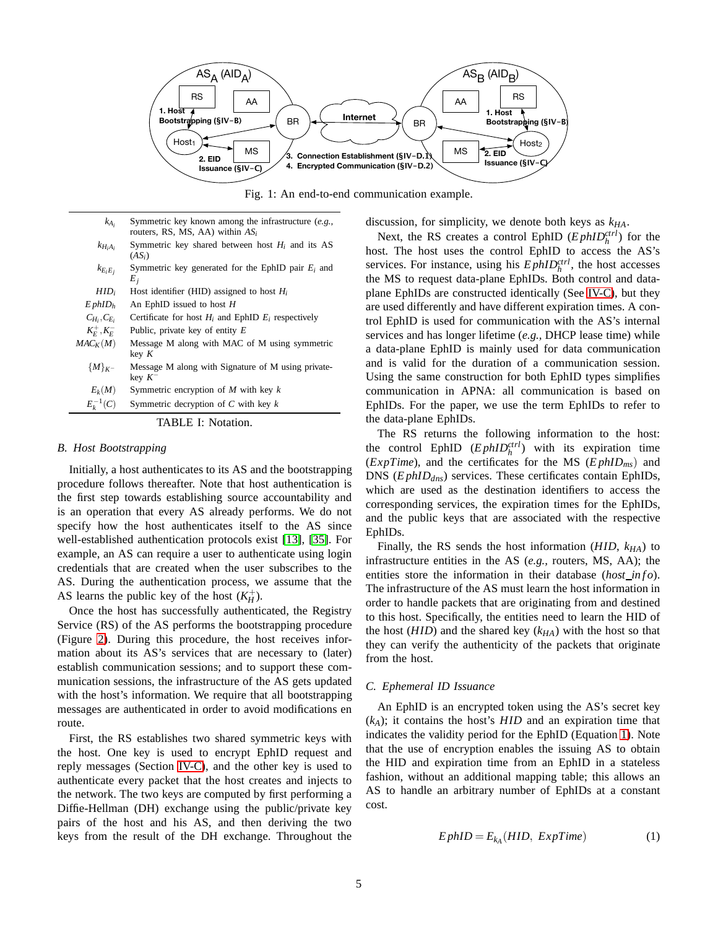<span id="page-4-0"></span>

Fig. 1: An end-to-end communication example.

- <span id="page-4-1"></span>*kAi* Symmetric key known among the infrastructure (*e.g.,* routers, RS, MS, AA) within *AS<sup>i</sup>*
- $k_{H_iA_i}$ Symmetric key shared between host  $H_i$  and its AS (*ASi*)
- $k_{E_iE_j}$ Symmetric key generated for the EphID pair *E<sup>i</sup>* and *Ej*
- $HID_i$  Host identifier (HID) assigned to host  $H_i$

*E phID<sup>h</sup>* An EphID issued to host *H*

 $C_{H_i}$ ,  $C_{E_i}$ Certificate for host  $H_i$  and EphID  $E_i$  respectively

 $K_E^+, K_E^-$ Public, private key of entity *E*

- $MAC<sub>K</sub>(M)$  Message M along with MAC of M using symmetric key *K*
	- {*M*}*K*<sup>−</sup> Message M along with Signature of M using privatekey *K* −
	- $E_k(M)$  Symmetric encryption of *M* with key *k*  $E_k^{-1}$

(*C*) Symmetric decryption of *C* with key *k*

TABLE I: Notation.

## *B. Host Bootstrapping*

Initially, a host authenticates to its AS and the bootstrapping procedure follows thereafter. Note that host authentication is the first step towards establishing source accountability and is an operation that every AS already performs. We do not specify how the host authenticates itself to the AS since well-established authentication protocols exist [\[13\]](#page-15-10), [\[35\]](#page-16-4). For example, an AS can require a user to authenticate using login credentials that are created when the user subscribes to the AS. During the authentication process, we assume that the AS learns the public key of the host  $(K_H^+)$ .

Once the host has successfully authenticated, the Registry Service (RS) of the AS performs the bootstrapping procedure (Figure [2\)](#page-5-0). During this procedure, the host receives information about its AS's services that are necessary to (later) establish communication sessions; and to support these communication sessions, the infrastructure of the AS gets updated with the host's information. We require that all bootstrapping messages are authenticated in order to avoid modifications en route.

First, the RS establishes two shared symmetric keys with the host. One key is used to encrypt EphID request and reply messages (Section [IV-C\)](#page-4-2), and the other key is used to authenticate every packet that the host creates and injects to the network. The two keys are computed by first performing a Diffie-Hellman (DH) exchange using the public/private key pairs of the host and his AS, and then deriving the two keys from the result of the DH exchange. Throughout the discussion, for simplicity, we denote both keys as *kHA*.

Next, the RS creates a control EphID  $(EphID<sub>h</sub><sup>ctrl</sup>)$  for the host. The host uses the control EphID to access the AS's services. For instance, using his  $EphID<sub>h</sub><sup>ctrl</sup>$ , the host accesses the MS to request data-plane EphIDs. Both control and dataplane EphIDs are constructed identically (See [IV-C\)](#page-4-2), but they are used differently and have different expiration times. A control EphID is used for communication with the AS's internal services and has longer lifetime (*e.g.,* DHCP lease time) while a data-plane EphID is mainly used for data communication and is valid for the duration of a communication session. Using the same construction for both EphID types simplifies communication in APNA: all communication is based on EphIDs. For the paper, we use the term EphIDs to refer to the data-plane EphIDs.

The RS returns the following information to the host: the control EphID  $(EphID<sub>h</sub><sup>ctrl</sup>)$  with its expiration time (*ExpTime*), and the certificates for the MS (*E phIDms*) and DNS (*E phIDdns*) services. These certificates contain EphIDs, which are used as the destination identifiers to access the corresponding services, the expiration times for the EphIDs, and the public keys that are associated with the respective EphIDs.

Finally, the RS sends the host information (*HID*, *kHA*) to infrastructure entities in the AS (*e.g.,* routers, MS, AA); the entities store the information in their database (*host\_info*). The infrastructure of the AS must learn the host information in order to handle packets that are originating from and destined to this host. Specifically, the entities need to learn the HID of the host (*HID*) and the shared key (*kHA*) with the host so that they can verify the authenticity of the packets that originate from the host.

#### <span id="page-4-2"></span>*C. Ephemeral ID Issuance*

An EphID is an encrypted token using the AS's secret key  $(k_A)$ ; it contains the host's  $HID$  and an expiration time that indicates the validity period for the EphID (Equation [1\)](#page-4-3). Note that the use of encryption enables the issuing AS to obtain the HID and expiration time from an EphID in a stateless fashion, without an additional mapping table; this allows an AS to handle an arbitrary number of EphIDs at a constant cost.

<span id="page-4-3"></span>
$$
EphID = E_{k_A}(HID, ExpTime)
$$
 (1)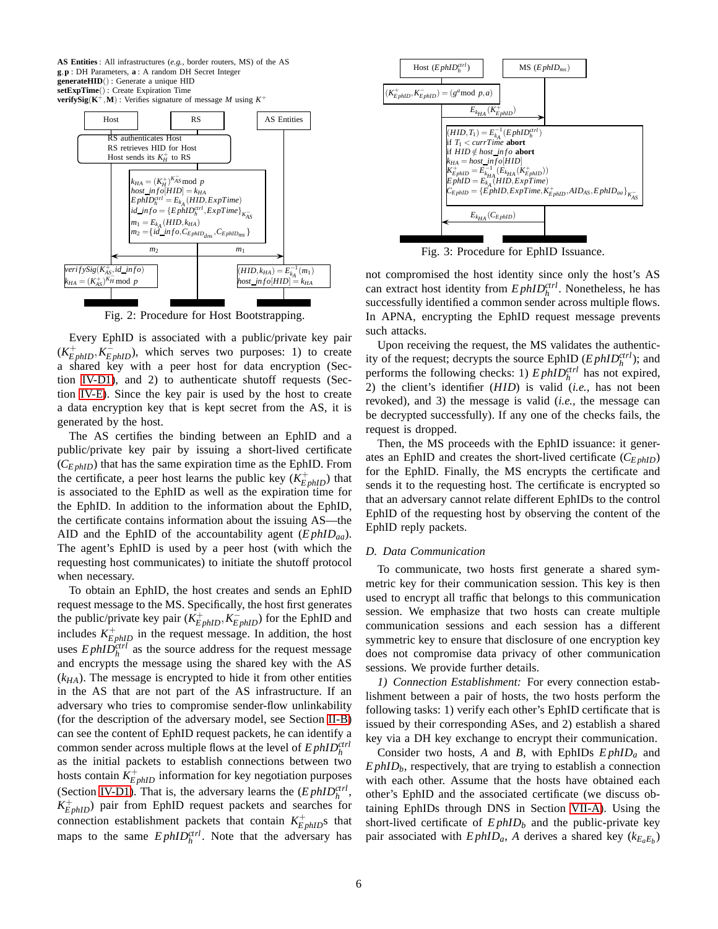<span id="page-5-0"></span>**AS Entities** : All infrastructures (*e.g.,* border routers, MS) of the AS **g**,**p** : DH Parameters, **a** : A random DH Secret Integer **generateHID**() : Generate a unique HID **setExpTime**() : Create Expiration Time **verifySig**( $K^+$ , **M**) : Verifies signature of message *M* using  $K^+$ 



Fig. 2: Procedure for Host Bootstrapping.

Every EphID is associated with a public/private key pair  $(K_{EphID}^+, K_{EphID}^-)$ , which serves two purposes: 1) to create a shared key with a peer host for data encryption (Section [IV-D1\)](#page-5-1), and 2) to authenticate shutoff requests (Section [IV-E\)](#page-6-0). Since the key pair is used by the host to create a data encryption key that is kept secret from the AS, it is generated by the host.

The AS certifies the binding between an EphID and a public/private key pair by issuing a short-lived certificate (*CE phID*) that has the same expiration time as the EphID. From the certificate, a peer host learns the public key  $(K_{EphID}^+)$  that is associated to the EphID as well as the expiration time for the EphID. In addition to the information about the EphID, the certificate contains information about the issuing AS—the AID and the EphID of the accountability agent (*E phIDaa*). The agent's EphID is used by a peer host (with which the requesting host communicates) to initiate the shutoff protocol when necessary.

To obtain an EphID, the host creates and sends an EphID request message to the MS. Specifically, the host first generates the public/private key pair  $(K_{EphID}^+, K_{EphID}^-)$  for the EphID and includes  $K_{EphID}^+$  in the request message. In addition, the host uses  $E$ *phID*<sup>*ctrl*</sup> as the source address for the request message and encrypts the message using the shared key with the AS (*kHA*). The message is encrypted to hide it from other entities in the AS that are not part of the AS infrastructure. If an adversary who tries to compromise sender-flow unlinkability (for the description of the adversary model, see Section [II-B\)](#page-1-1) can see the content of EphID request packets, he can identify a common sender across multiple flows at the level of *E phIDctrl h* as the initial packets to establish connections between two hosts contain  $K_{EphID}^+$  information for key negotiation purposes (Section [IV-D1\)](#page-5-1). That is, the adversary learns the  $(EphID<sub>h</sub><sup>ctrl</sup>$ ,  $K_{EphID}^{+}$ ) pair from EphID request packets and searches for connection establishment packets that contain  $K_{EphID}^+$ s that maps to the same  $E$ *phID*<sup>*ctrl*</sup></sub>. Note that the adversary has

<span id="page-5-2"></span>

Fig. 3: Procedure for EphID Issuance.

not compromised the host identity since only the host's AS can extract host identity from  $E$ *phID*<sup>*ctrl*</sup></sub>. Nonetheless, he has successfully identified a common sender across multiple flows. In APNA, encrypting the EphID request message prevents such attacks.

Upon receiving the request, the MS validates the authenticity of the request; decrypts the source EphID  $(EphID<sub>h</sub><sup>ctrl</sup>)$ ; and performs the following checks: 1)  $E$ *phID*<sup> $ctrl$ </sup> has not expired, 2) the client's identifier (*HID*) is valid (*i.e.,* has not been revoked), and 3) the message is valid (*i.e.,* the message can be decrypted successfully). If any one of the checks fails, the request is dropped.

Then, the MS proceeds with the EphID issuance: it generates an EphID and creates the short-lived certificate (*CE phID*) for the EphID. Finally, the MS encrypts the certificate and sends it to the requesting host. The certificate is encrypted so that an adversary cannot relate different EphIDs to the control EphID of the requesting host by observing the content of the EphID reply packets.

## <span id="page-5-3"></span>*D. Data Communication*

To communicate, two hosts first generate a shared symmetric key for their communication session. This key is then used to encrypt all traffic that belongs to this communication session. We emphasize that two hosts can create multiple communication sessions and each session has a different symmetric key to ensure that disclosure of one encryption key does not compromise data privacy of other communication sessions. We provide further details.

<span id="page-5-1"></span>*1) Connection Establishment:* For every connection establishment between a pair of hosts, the two hosts perform the following tasks: 1) verify each other's EphID certificate that is issued by their corresponding ASes, and 2) establish a shared key via a DH key exchange to encrypt their communication.

Consider two hosts, *A* and *B*, with EphIDs *E phID<sup>a</sup>* and  $E$ *phID* $_b$ , respectively, that are trying to establish a connection with each other. Assume that the hosts have obtained each other's EphID and the associated certificate (we discuss obtaining EphIDs through DNS in Section [VII-A\)](#page-9-0). Using the short-lived certificate of *E phID<sup>b</sup>* and the public-private key pair associated with  $E$ *phID<sub>a</sub>*, *A* derives a shared key ( $k_{E_aE_b}$ )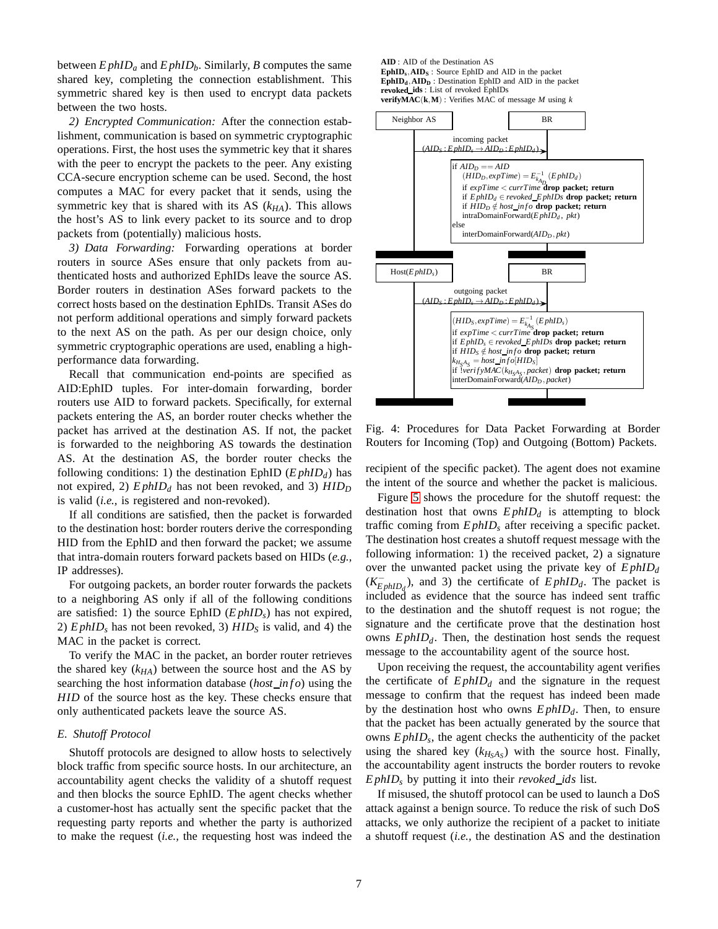between  $E$ *phID<sub>a</sub>* and  $E$ *phID<sub>b</sub>*. Similarly, *B* computes the same shared key, completing the connection establishment. This symmetric shared key is then used to encrypt data packets between the two hosts.

*2) Encrypted Communication:* After the connection establishment, communication is based on symmetric cryptographic operations. First, the host uses the symmetric key that it shares with the peer to encrypt the packets to the peer. Any existing CCA-secure encryption scheme can be used. Second, the host computes a MAC for every packet that it sends, using the symmetric key that is shared with its AS  $(k_{HA})$ . This allows the host's AS to link every packet to its source and to drop packets from (potentially) malicious hosts.

*3) Data Forwarding:* Forwarding operations at border routers in source ASes ensure that only packets from authenticated hosts and authorized EphIDs leave the source AS. Border routers in destination ASes forward packets to the correct hosts based on the destination EphIDs. Transit ASes do not perform additional operations and simply forward packets to the next AS on the path. As per our design choice, only symmetric cryptographic operations are used, enabling a highperformance data forwarding.

Recall that communication end-points are specified as AID:EphID tuples. For inter-domain forwarding, border routers use AID to forward packets. Specifically, for external packets entering the AS, an border router checks whether the packet has arrived at the destination AS. If not, the packet is forwarded to the neighboring AS towards the destination AS. At the destination AS, the border router checks the following conditions: 1) the destination EphID  $(EphID_d)$  has not expired, 2) *E phID<sup>d</sup>* has not been revoked, and 3) *HID<sup>D</sup>* is valid (*i.e.,* is registered and non-revoked).

If all conditions are satisfied, then the packet is forwarded to the destination host: border routers derive the corresponding HID from the EphID and then forward the packet; we assume that intra-domain routers forward packets based on HIDs (*e.g.,* IP addresses).

For outgoing packets, an border router forwards the packets to a neighboring AS only if all of the following conditions are satisfied: 1) the source EphID (*E phIDs*) has not expired, 2) *E phID<sup>s</sup>* has not been revoked, 3) *HID<sup>S</sup>* is valid, and 4) the MAC in the packet is correct.

To verify the MAC in the packet, an border router retrieves the shared key (*kHA*) between the source host and the AS by searching the host information database (*host in f o*) using the *HID* of the source host as the key. These checks ensure that only authenticated packets leave the source AS.

#### <span id="page-6-0"></span>*E. Shutoff Protocol*

Shutoff protocols are designed to allow hosts to selectively block traffic from specific source hosts. In our architecture, an accountability agent checks the validity of a shutoff request and then blocks the source EphID. The agent checks whether a customer-host has actually sent the specific packet that the requesting party reports and whether the party is authorized to make the request (*i.e.,* the requesting host was indeed the <span id="page-6-1"></span>**AID** : AID of the Destination AS **EphID<sup>s</sup>** ,**AID<sup>S</sup>** : Source EphID and AID in the packet  $\mathbf{EphID_d}$ ,  $\mathbf{AID_D}$ : Destination EphID and AID in the packet **revoked ids** : List of revoked EphIDs **verifyMAC**( $\bf{k}$ , $\bf{M}$ ) : Verifies MAC of message *M* using *k* 



Fig. 4: Procedures for Data Packet Forwarding at Border Routers for Incoming (Top) and Outgoing (Bottom) Packets.

recipient of the specific packet). The agent does not examine the intent of the source and whether the packet is malicious.

Figure [5](#page-7-1) shows the procedure for the shutoff request: the destination host that owns *E phID<sup>d</sup>* is attempting to block traffic coming from *E phID<sup>s</sup>* after receiving a specific packet. The destination host creates a shutoff request message with the following information: 1) the received packet, 2) a signature over the unwanted packet using the private key of *E phID<sup>d</sup>*  $(K_{EphID_d}^-)$ , and 3) the certificate of  $EphID_d$ . The packet is included as evidence that the source has indeed sent traffic to the destination and the shutoff request is not rogue; the signature and the certificate prove that the destination host owns *E phIDd*. Then, the destination host sends the request message to the accountability agent of the source host.

Upon receiving the request, the accountability agent verifies the certificate of  $E$ *phID* $_d$  and the signature in the request message to confirm that the request has indeed been made by the destination host who owns *E phIDd*. Then, to ensure that the packet has been actually generated by the source that owns *E phID<sup>s</sup>* , the agent checks the authenticity of the packet using the shared key  $(k_{H<sub>S</sub>A<sub>S</sub>})$  with the source host. Finally, the accountability agent instructs the border routers to revoke *E phID<sup>s</sup>* by putting it into their *revoked ids* list.

If misused, the shutoff protocol can be used to launch a DoS attack against a benign source. To reduce the risk of such DoS attacks, we only authorize the recipient of a packet to initiate a shutoff request (*i.e.,* the destination AS and the destination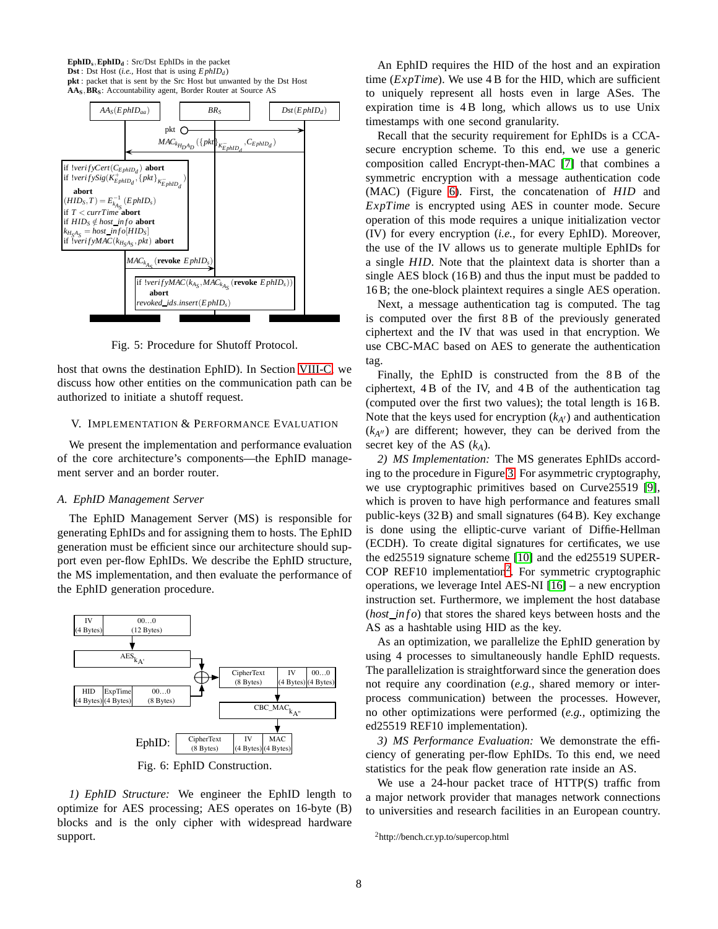<span id="page-7-1"></span>



Fig. 5: Procedure for Shutoff Protocol.

host that owns the destination EphID). In Section [VIII-C,](#page-13-1) we discuss how other entities on the communication path can be authorized to initiate a shutoff request.

## V. IMPLEMENTATION & PERFORMANCE EVALUATION

We present the implementation and performance evaluation of the core architecture's components—the EphID management server and an border router.

#### *A. EphID Management Server*

The EphID Management Server (MS) is responsible for generating EphIDs and for assigning them to hosts. The EphID generation must be efficient since our architecture should support even per-flow EphIDs. We describe the EphID structure, the MS implementation, and then evaluate the performance of the EphID generation procedure.

<span id="page-7-2"></span><span id="page-7-0"></span>

*1) EphID Structure:* We engineer the EphID length to optimize for AES processing; AES operates on 16-byte (B) blocks and is the only cipher with widespread hardware support.

An EphID requires the HID of the host and an expiration time (*ExpTime*). We use 4 B for the HID, which are sufficient to uniquely represent all hosts even in large ASes. The expiration time is 4 B long, which allows us to use Unix timestamps with one second granularity.

Recall that the security requirement for EphIDs is a CCAsecure encryption scheme. To this end, we use a generic composition called Encrypt-then-MAC [\[7\]](#page-15-11) that combines a symmetric encryption with a message authentication code (MAC) (Figure [6\)](#page-7-2). First, the concatenation of *HID* and *ExpTime* is encrypted using AES in counter mode. Secure operation of this mode requires a unique initialization vector (IV) for every encryption (*i.e.,* for every EphID). Moreover, the use of the IV allows us to generate multiple EphIDs for a single *HID*. Note that the plaintext data is shorter than a single AES block (16 B) and thus the input must be padded to 16 B; the one-block plaintext requires a single AES operation.

Next, a message authentication tag is computed. The tag is computed over the first 8 B of the previously generated ciphertext and the IV that was used in that encryption. We use CBC-MAC based on AES to generate the authentication tag.

Finally, the EphID is constructed from the 8B of the ciphertext, 4 B of the IV, and 4 B of the authentication tag (computed over the first two values); the total length is 16 B. Note that the keys used for encryption  $(k_{A'})$  and authentication  $(k<sub>A</sub><sup>*W*</sup>)$  are different; however, they can be derived from the secret key of the AS (*kA*).

*2) MS Implementation:* The MS generates EphIDs according to the procedure in Figure [3.](#page-5-2) For asymmetric cryptography, we use cryptographic primitives based on Curve25519 [\[9\]](#page-15-12), which is proven to have high performance and features small public-keys (32 B) and small signatures (64 B). Key exchange is done using the elliptic-curve variant of Diffie-Hellman (ECDH). To create digital signatures for certificates, we use the ed25519 signature scheme [\[10\]](#page-15-13) and the ed25519 SUPER-COP REF10 implementation<sup>[2](#page-7-3)</sup>. For symmetric cryptographic operations, we leverage Intel AES-NI [\[16\]](#page-15-14) – a new encryption instruction set. Furthermore, we implement the host database (*host\_info*) that stores the shared keys between hosts and the AS as a hashtable using HID as the key.

As an optimization, we parallelize the EphID generation by using 4 processes to simultaneously handle EphID requests. The parallelization is straightforward since the generation does not require any coordination (*e.g.,* shared memory or interprocess communication) between the processes. However, no other optimizations were performed (*e.g.,* optimizing the ed25519 REF10 implementation).

<span id="page-7-4"></span>*3) MS Performance Evaluation:* We demonstrate the efficiency of generating per-flow EphIDs. To this end, we need statistics for the peak flow generation rate inside an AS.

We use a 24-hour packet trace of HTTP(S) traffic from a major network provider that manages network connections to universities and research facilities in an European country.

<span id="page-7-3"></span><sup>2</sup>http://bench.cr.yp.to/supercop.html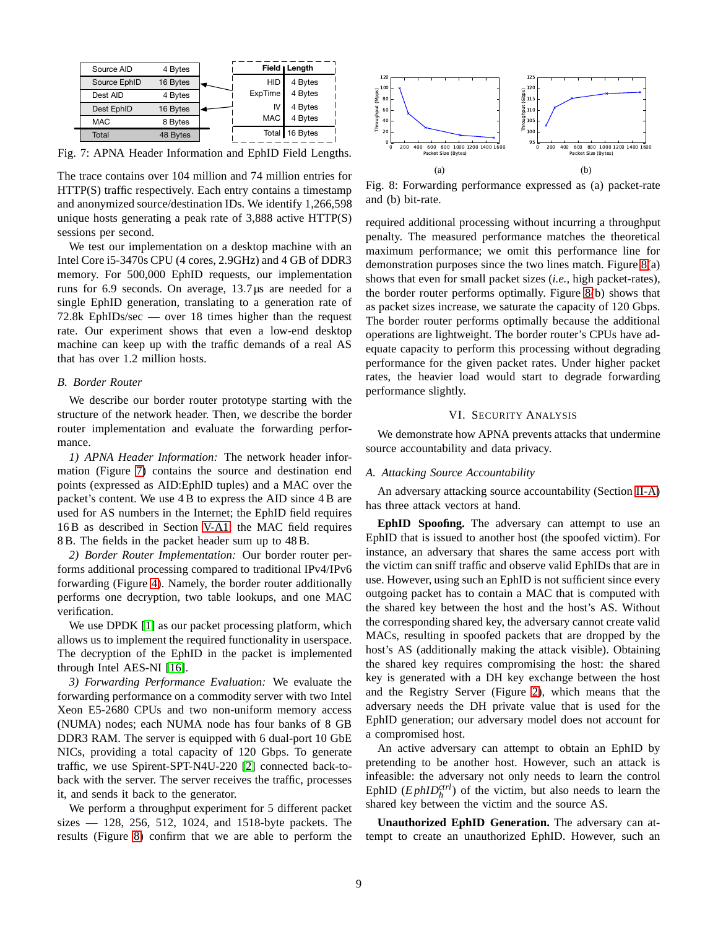<span id="page-8-0"></span>

Fig. 7: APNA Header Information and EphID Field Lengths.

The trace contains over 104 million and 74 million entries for HTTP(S) traffic respectively. Each entry contains a timestamp and anonymized source/destination IDs. We identify 1,266,598 unique hosts generating a peak rate of 3,888 active HTTP(S) sessions per second.

We test our implementation on a desktop machine with an Intel Core i5-3470s CPU (4 cores, 2.9GHz) and 4 GB of DDR3 memory. For 500,000 EphID requests, our implementation runs for 6.9 seconds. On average, 13.7µs are needed for a single EphID generation, translating to a generation rate of 72.8k EphIDs/sec — over 18 times higher than the request rate. Our experiment shows that even a low-end desktop machine can keep up with the traffic demands of a real AS that has over 1.2 million hosts.

## *B. Border Router*

We describe our border router prototype starting with the structure of the network header. Then, we describe the border router implementation and evaluate the forwarding performance.

*1) APNA Header Information:* The network header information (Figure [7\)](#page-8-0) contains the source and destination end points (expressed as AID:EphID tuples) and a MAC over the packet's content. We use 4 B to express the AID since 4 B are used for AS numbers in the Internet; the EphID field requires 16 B as described in Section [V-A1;](#page-7-0) the MAC field requires 8 B. The fields in the packet header sum up to 48 B.

*2) Border Router Implementation:* Our border router performs additional processing compared to traditional IPv4/IPv6 forwarding (Figure [4\)](#page-6-1). Namely, the border router additionally performs one decryption, two table lookups, and one MAC verification.

We use DPDK [\[1\]](#page-15-15) as our packet processing platform, which allows us to implement the required functionality in userspace. The decryption of the EphID in the packet is implemented through Intel AES-NI [\[16\]](#page-15-14).

*3) Forwarding Performance Evaluation:* We evaluate the forwarding performance on a commodity server with two Intel Xeon E5-2680 CPUs and two non-uniform memory access (NUMA) nodes; each NUMA node has four banks of 8 GB DDR3 RAM. The server is equipped with 6 dual-port 10 GbE NICs, providing a total capacity of 120 Gbps. To generate traffic, we use Spirent-SPT-N4U-220 [\[2\]](#page-15-16) connected back-toback with the server. The server receives the traffic, processes it, and sends it back to the generator.

We perform a throughput experiment for 5 different packet sizes — 128, 256, 512, 1024, and 1518-byte packets. The results (Figure [8\)](#page-8-1) confirm that we are able to perform the

<span id="page-8-1"></span>

Fig. 8: Forwarding performance expressed as (a) packet-rate and (b) bit-rate.

required additional processing without incurring a throughput penalty. The measured performance matches the theoretical maximum performance; we omit this performance line for demonstration purposes since the two lines match. Figure [8\(](#page-8-1)a) shows that even for small packet sizes (*i.e.,* high packet-rates), the border router performs optimally. Figure [8\(](#page-8-1)b) shows that as packet sizes increase, we saturate the capacity of 120 Gbps. The border router performs optimally because the additional operations are lightweight. The border router's CPUs have adequate capacity to perform this processing without degrading performance for the given packet rates. Under higher packet rates, the heavier load would start to degrade forwarding performance slightly.

#### VI. SECURITY ANALYSIS

We demonstrate how APNA prevents attacks that undermine source accountability and data privacy.

#### *A. Attacking Source Accountability*

An adversary attacking source accountability (Section [II-A\)](#page-1-2) has three attack vectors at hand.

**EphID Spoofing.** The adversary can attempt to use an EphID that is issued to another host (the spoofed victim). For instance, an adversary that shares the same access port with the victim can sniff traffic and observe valid EphIDs that are in use. However, using such an EphID is not sufficient since every outgoing packet has to contain a MAC that is computed with the shared key between the host and the host's AS. Without the corresponding shared key, the adversary cannot create valid MACs, resulting in spoofed packets that are dropped by the host's AS (additionally making the attack visible). Obtaining the shared key requires compromising the host: the shared key is generated with a DH key exchange between the host and the Registry Server (Figure [2\)](#page-5-0), which means that the adversary needs the DH private value that is used for the EphID generation; our adversary model does not account for a compromised host.

An active adversary can attempt to obtain an EphID by pretending to be another host. However, such an attack is infeasible: the adversary not only needs to learn the control EphID  $(EphID<sub>h</sub><sup>ctrl</sup>)$  of the victim, but also needs to learn the shared key between the victim and the source AS.

**Unauthorized EphID Generation.** The adversary can attempt to create an unauthorized EphID. However, such an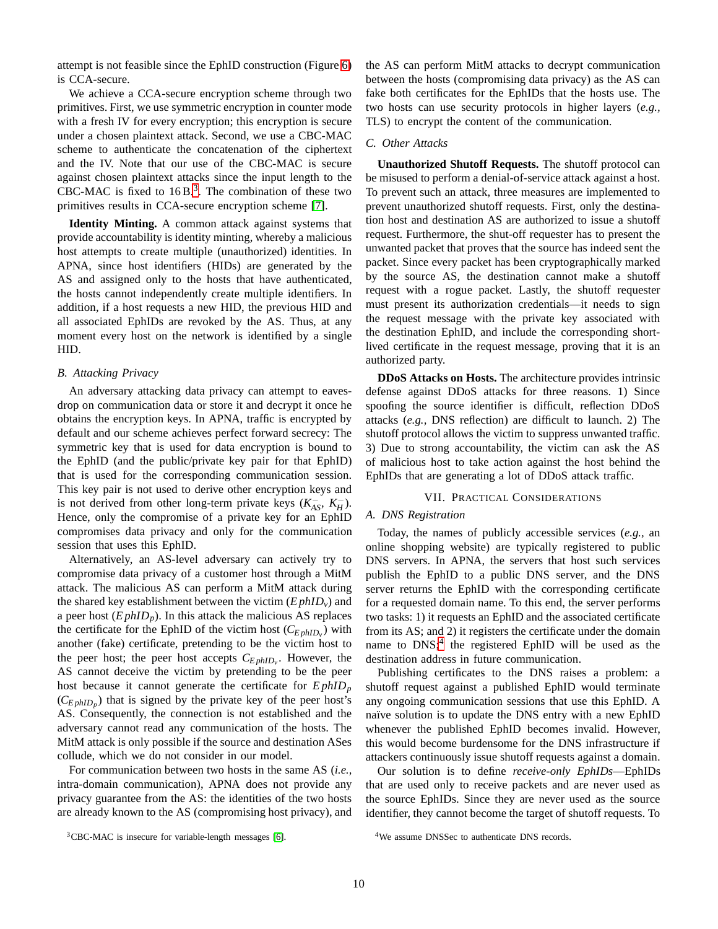attempt is not feasible since the EphID construction (Figure [6\)](#page-7-2) is CCA-secure.

We achieve a CCA-secure encryption scheme through two primitives. First, we use symmetric encryption in counter mode with a fresh IV for every encryption; this encryption is secure under a chosen plaintext attack. Second, we use a CBC-MAC scheme to authenticate the concatenation of the ciphertext and the IV. Note that our use of the CBC-MAC is secure against chosen plaintext attacks since the input length to the CBC-MAC is fixed to  $16B$ .<sup>[3](#page-9-1)</sup>. The combination of these two primitives results in CCA-secure encryption scheme [\[7\]](#page-15-11).

**Identity Minting.** A common attack against systems that provide accountability is identity minting, whereby a malicious host attempts to create multiple (unauthorized) identities. In APNA, since host identifiers (HIDs) are generated by the AS and assigned only to the hosts that have authenticated, the hosts cannot independently create multiple identifiers. In addition, if a host requests a new HID, the previous HID and all associated EphIDs are revoked by the AS. Thus, at any moment every host on the network is identified by a single HID.

## *B. Attacking Privacy*

An adversary attacking data privacy can attempt to eavesdrop on communication data or store it and decrypt it once he obtains the encryption keys. In APNA, traffic is encrypted by default and our scheme achieves perfect forward secrecy: The symmetric key that is used for data encryption is bound to the EphID (and the public/private key pair for that EphID) that is used for the corresponding communication session. This key pair is not used to derive other encryption keys and is not derived from other long-term private keys  $(K_{AS}^-$ ,  $K_H^-)$ . Hence, only the compromise of a private key for an EphID compromises data privacy and only for the communication session that uses this EphID.

Alternatively, an AS-level adversary can actively try to compromise data privacy of a customer host through a MitM attack. The malicious AS can perform a MitM attack during the shared key establishment between the victim  $(EphID_v)$  and a peer host  $(EphID<sub>p</sub>)$ . In this attack the malicious AS replaces the certificate for the EphID of the victim host  $(C_{EphID_v})$  with another (fake) certificate, pretending to be the victim host to the peer host; the peer host accepts *CE phID<sup>v</sup>* . However, the AS cannot deceive the victim by pretending to be the peer host because it cannot generate the certificate for *E phID<sup>p</sup>*  $(C_{EphID_p})$  that is signed by the private key of the peer host's AS. Consequently, the connection is not established and the adversary cannot read any communication of the hosts. The MitM attack is only possible if the source and destination ASes collude, which we do not consider in our model.

For communication between two hosts in the same AS (*i.e.,* intra-domain communication), APNA does not provide any privacy guarantee from the AS: the identities of the two hosts are already known to the AS (compromising host privacy), and the AS can perform MitM attacks to decrypt communication between the hosts (compromising data privacy) as the AS can fake both certificates for the EphIDs that the hosts use. The two hosts can use security protocols in higher layers (*e.g.,* TLS) to encrypt the content of the communication.

## *C. Other Attacks*

**Unauthorized Shutoff Requests.** The shutoff protocol can be misused to perform a denial-of-service attack against a host. To prevent such an attack, three measures are implemented to prevent unauthorized shutoff requests. First, only the destination host and destination AS are authorized to issue a shutoff request. Furthermore, the shut-off requester has to present the unwanted packet that proves that the source has indeed sent the packet. Since every packet has been cryptographically marked by the source AS, the destination cannot make a shutoff request with a rogue packet. Lastly, the shutoff requester must present its authorization credentials—it needs to sign the request message with the private key associated with the destination EphID, and include the corresponding shortlived certificate in the request message, proving that it is an authorized party.

**DDoS Attacks on Hosts.** The architecture provides intrinsic defense against DDoS attacks for three reasons. 1) Since spoofing the source identifier is difficult, reflection DDoS attacks (*e.g.,* DNS reflection) are difficult to launch. 2) The shutoff protocol allows the victim to suppress unwanted traffic. 3) Due to strong accountability, the victim can ask the AS of malicious host to take action against the host behind the EphIDs that are generating a lot of DDoS attack traffic.

#### VII. PRACTICAL CONSIDERATIONS

## <span id="page-9-0"></span>*A. DNS Registration*

Today, the names of publicly accessible services (*e.g.,* an online shopping website) are typically registered to public DNS servers. In APNA, the servers that host such services publish the EphID to a public DNS server, and the DNS server returns the EphID with the corresponding certificate for a requested domain name. To this end, the server performs two tasks: 1) it requests an EphID and the associated certificate from its AS; and 2) it registers the certificate under the domain name to DNS;<sup>[4](#page-9-2)</sup> the registered EphID will be used as the destination address in future communication.

Publishing certificates to the DNS raises a problem: a shutoff request against a published EphID would terminate any ongoing communication sessions that use this EphID. A naïve solution is to update the DNS entry with a new EphID whenever the published EphID becomes invalid. However, this would become burdensome for the DNS infrastructure if attackers continuously issue shutoff requests against a domain.

Our solution is to define *receive-only EphIDs*—EphIDs that are used only to receive packets and are never used as the source EphIDs. Since they are never used as the source identifier, they cannot become the target of shutoff requests. To

<span id="page-9-1"></span><sup>3</sup>CBC-MAC is insecure for variable-length messages [\[6\]](#page-15-17).

<span id="page-9-2"></span><sup>4</sup>We assume DNSSec to authenticate DNS records.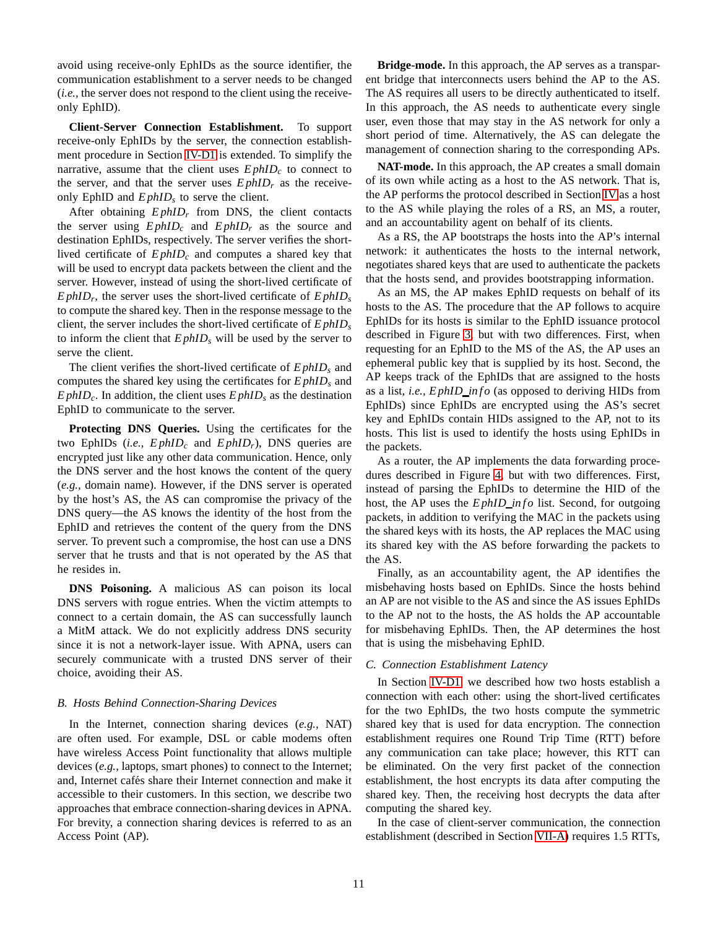avoid using receive-only EphIDs as the source identifier, the communication establishment to a server needs to be changed (*i.e.,* the server does not respond to the client using the receiveonly EphID).

**Client-Server Connection Establishment.** To support receive-only EphIDs by the server, the connection establishment procedure in Section [IV-D1](#page-5-1) is extended. To simplify the narrative, assume that the client uses  $E$ *phID<sub>c</sub>* to connect to the server, and that the server uses  $E$ *phID<sub>r</sub>* as the receiveonly EphID and *E phID<sup>s</sup>* to serve the client.

After obtaining  $E$ *phID<sub>r</sub>* from DNS, the client contacts the server using  $E$ *phID<sub>c</sub>* and  $E$ *phID<sub>r</sub>* as the source and destination EphIDs, respectively. The server verifies the shortlived certificate of *E phID<sup>c</sup>* and computes a shared key that will be used to encrypt data packets between the client and the server. However, instead of using the short-lived certificate of *E phID<sup>r</sup>* , the server uses the short-lived certificate of *E phID<sup>s</sup>* to compute the shared key. Then in the response message to the client, the server includes the short-lived certificate of *E phID<sup>s</sup>* to inform the client that  $E$ *phID<sub>s</sub>* will be used by the server to serve the client.

The client verifies the short-lived certificate of *E phID<sup>s</sup>* and computes the shared key using the certificates for *E phID<sup>s</sup>* and  $E$ *phID<sub>c</sub>*. In addition, the client uses  $E$ *phID<sub>s</sub>* as the destination EphID to communicate to the server.

**Protecting DNS Queries.** Using the certificates for the two EphIDs (*i.e., E phID<sup>c</sup>* and *E phIDr*), DNS queries are encrypted just like any other data communication. Hence, only the DNS server and the host knows the content of the query (*e.g.,* domain name). However, if the DNS server is operated by the host's AS, the AS can compromise the privacy of the DNS query—the AS knows the identity of the host from the EphID and retrieves the content of the query from the DNS server. To prevent such a compromise, the host can use a DNS server that he trusts and that is not operated by the AS that he resides in.

**DNS Poisoning.** A malicious AS can poison its local DNS servers with rogue entries. When the victim attempts to connect to a certain domain, the AS can successfully launch a MitM attack. We do not explicitly address DNS security since it is not a network-layer issue. With APNA, users can securely communicate with a trusted DNS server of their choice, avoiding their AS.

## <span id="page-10-0"></span>*B. Hosts Behind Connection-Sharing Devices*

In the Internet, connection sharing devices (*e.g.,* NAT) are often used. For example, DSL or cable modems often have wireless Access Point functionality that allows multiple devices (*e.g.,* laptops, smart phones) to connect to the Internet; and, Internet cafés share their Internet connection and make it accessible to their customers. In this section, we describe two approaches that embrace connection-sharing devices in APNA. For brevity, a connection sharing devices is referred to as an Access Point (AP).

**Bridge-mode.** In this approach, the AP serves as a transparent bridge that interconnects users behind the AP to the AS. The AS requires all users to be directly authenticated to itself. In this approach, the AS needs to authenticate every single user, even those that may stay in the AS network for only a short period of time. Alternatively, the AS can delegate the management of connection sharing to the corresponding APs.

**NAT-mode.** In this approach, the AP creates a small domain of its own while acting as a host to the AS network. That is, the AP performs the protocol described in Section [IV](#page-3-1) as a host to the AS while playing the roles of a RS, an MS, a router, and an accountability agent on behalf of its clients.

As a RS, the AP bootstraps the hosts into the AP's internal network: it authenticates the hosts to the internal network, negotiates shared keys that are used to authenticate the packets that the hosts send, and provides bootstrapping information.

As an MS, the AP makes EphID requests on behalf of its hosts to the AS. The procedure that the AP follows to acquire EphIDs for its hosts is similar to the EphID issuance protocol described in Figure [3,](#page-5-2) but with two differences. First, when requesting for an EphID to the MS of the AS, the AP uses an ephemeral public key that is supplied by its host. Second, the AP keeps track of the EphIDs that are assigned to the hosts as a list, *i.e., E phID in f o* (as opposed to deriving HIDs from EphIDs) since EphIDs are encrypted using the AS's secret key and EphIDs contain HIDs assigned to the AP, not to its hosts. This list is used to identify the hosts using EphIDs in the packets.

As a router, the AP implements the data forwarding procedures described in Figure [4,](#page-6-1) but with two differences. First, instead of parsing the EphIDs to determine the HID of the host, the AP uses the *E phID\_info* list. Second, for outgoing packets, in addition to verifying the MAC in the packets using the shared keys with its hosts, the AP replaces the MAC using its shared key with the AS before forwarding the packets to the AS.

Finally, as an accountability agent, the AP identifies the misbehaving hosts based on EphIDs. Since the hosts behind an AP are not visible to the AS and since the AS issues EphIDs to the AP not to the hosts, the AS holds the AP accountable for misbehaving EphIDs. Then, the AP determines the host that is using the misbehaving EphID.

## *C. Connection Establishment Latency*

In Section [IV-D1,](#page-5-1) we described how two hosts establish a connection with each other: using the short-lived certificates for the two EphIDs, the two hosts compute the symmetric shared key that is used for data encryption. The connection establishment requires one Round Trip Time (RTT) before any communication can take place; however, this RTT can be eliminated. On the very first packet of the connection establishment, the host encrypts its data after computing the shared key. Then, the receiving host decrypts the data after computing the shared key.

In the case of client-server communication, the connection establishment (described in Section [VII-A\)](#page-9-0) requires 1.5 RTTs,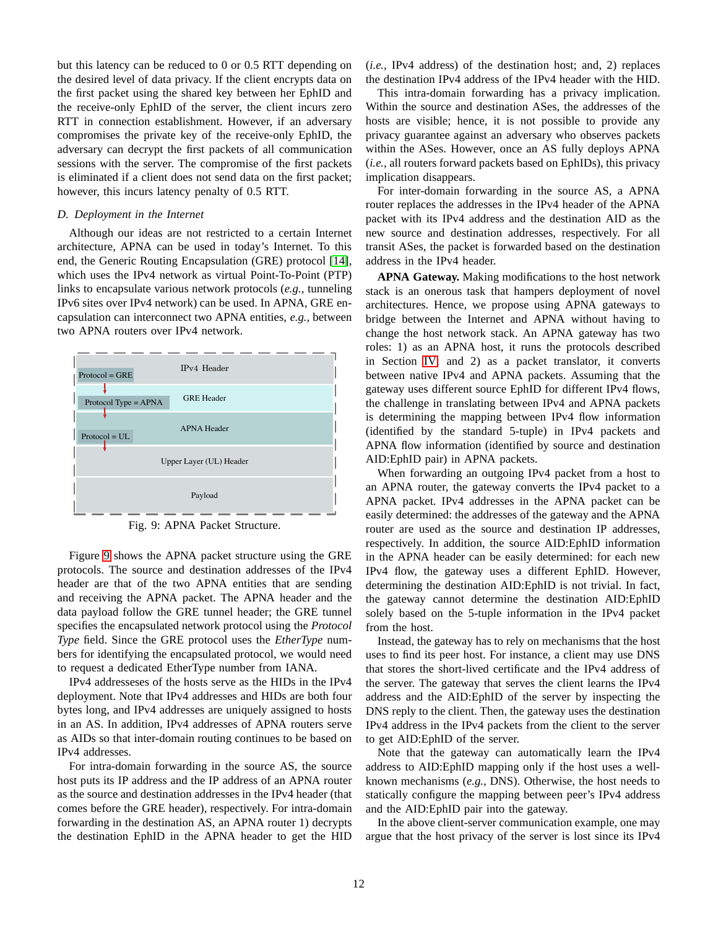but this latency can be reduced to 0 or 0.5 RTT depending on the desired level of data privacy. If the client encrypts data on the first packet using the shared key between her EphID and the receive-only EphID of the server, the client incurs zero RTT in connection establishment. However, if an adversary compromises the private key of the receive-only EphID, the adversary can decrypt the first packets of all communication sessions with the server. The compromise of the first packets is eliminated if a client does not send data on the first packet; however, this incurs latency penalty of 0.5 RTT.

## *D. Deployment in the Internet*

Although our ideas are not restricted to a certain Internet architecture, APNA can be used in today's Internet. To this end, the Generic Routing Encapsulation (GRE) protocol [\[14\]](#page-15-18), which uses the IPv4 network as virtual Point-To-Point (PTP) links to encapsulate various network protocols (*e.g.,* tunneling IPv6 sites over IPv4 network) can be used. In APNA, GRE encapsulation can interconnect two APNA entities, *e.g.,* between two APNA routers over IPv4 network.

<span id="page-11-0"></span>

Fig. 9: APNA Packet Structure.

Figure [9](#page-11-0) shows the APNA packet structure using the GRE protocols. The source and destination addresses of the IPv4 header are that of the two APNA entities that are sending and receiving the APNA packet. The APNA header and the data payload follow the GRE tunnel header; the GRE tunnel specifies the encapsulated network protocol using the *Protocol Type* field. Since the GRE protocol uses the *EtherType* numbers for identifying the encapsulated protocol, we would need to request a dedicated EtherType number from IANA.

IPv4 addresseses of the hosts serve as the HIDs in the IPv4 deployment. Note that IPv4 addresses and HIDs are both four bytes long, and IPv4 addresses are uniquely assigned to hosts in an AS. In addition, IPv4 addresses of APNA routers serve as AIDs so that inter-domain routing continues to be based on IPv4 addresses.

For intra-domain forwarding in the source AS, the source host puts its IP address and the IP address of an APNA router as the source and destination addresses in the IPv4 header (that comes before the GRE header), respectively. For intra-domain forwarding in the destination AS, an APNA router 1) decrypts the destination EphID in the APNA header to get the HID

(*i.e.,* IPv4 address) of the destination host; and, 2) replaces the destination IPv4 address of the IPv4 header with the HID.

This intra-domain forwarding has a privacy implication. Within the source and destination ASes, the addresses of the hosts are visible; hence, it is not possible to provide any privacy guarantee against an adversary who observes packets within the ASes. However, once an AS fully deploys APNA (*i.e.,* all routers forward packets based on EphIDs), this privacy implication disappears.

For inter-domain forwarding in the source AS, a APNA router replaces the addresses in the IPv4 header of the APNA packet with its IPv4 address and the destination AID as the new source and destination addresses, respectively. For all transit ASes, the packet is forwarded based on the destination address in the IPv4 header.

**APNA Gateway.** Making modifications to the host network stack is an onerous task that hampers deployment of novel architectures. Hence, we propose using APNA gateways to bridge between the Internet and APNA without having to change the host network stack. An APNA gateway has two roles: 1) as an APNA host, it runs the protocols described in Section [IV;](#page-3-1) and 2) as a packet translator, it converts between native IPv4 and APNA packets. Assuming that the gateway uses different source EphID for different IPv4 flows, the challenge in translating between IPv4 and APNA packets is determining the mapping between IPv4 flow information (identified by the standard 5-tuple) in IPv4 packets and APNA flow information (identified by source and destination AID:EphID pair) in APNA packets.

When forwarding an outgoing IPv4 packet from a host to an APNA router, the gateway converts the IPv4 packet to a APNA packet. IPv4 addresses in the APNA packet can be easily determined: the addresses of the gateway and the APNA router are used as the source and destination IP addresses, respectively. In addition, the source AID:EphID information in the APNA header can be easily determined: for each new IPv4 flow, the gateway uses a different EphID. However, determining the destination AID:EphID is not trivial. In fact, the gateway cannot determine the destination AID:EphID solely based on the 5-tuple information in the IPv4 packet from the host.

Instead, the gateway has to rely on mechanisms that the host uses to find its peer host. For instance, a client may use DNS that stores the short-lived certificate and the IPv4 address of the server. The gateway that serves the client learns the IPv4 address and the AID:EphID of the server by inspecting the DNS reply to the client. Then, the gateway uses the destination IPv4 address in the IPv4 packets from the client to the server to get AID:EphID of the server.

Note that the gateway can automatically learn the IPv4 address to AID:EphID mapping only if the host uses a wellknown mechanisms (*e.g.,* DNS). Otherwise, the host needs to statically configure the mapping between peer's IPv4 address and the AID:EphID pair into the gateway.

In the above client-server communication example, one may argue that the host privacy of the server is lost since its IPv4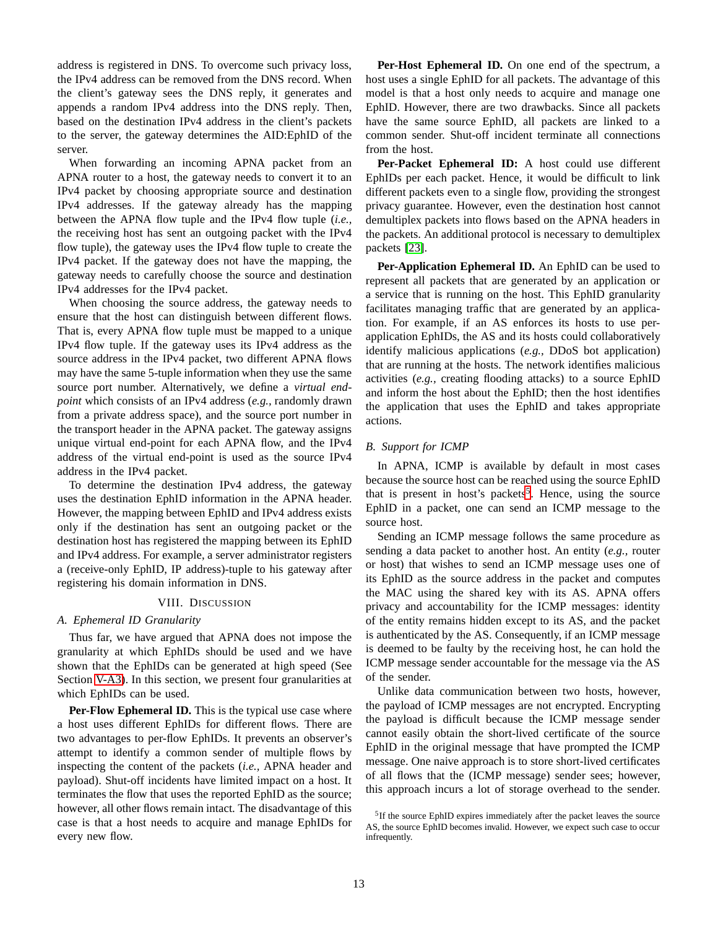address is registered in DNS. To overcome such privacy loss, the IPv4 address can be removed from the DNS record. When the client's gateway sees the DNS reply, it generates and appends a random IPv4 address into the DNS reply. Then, based on the destination IPv4 address in the client's packets to the server, the gateway determines the AID:EphID of the server.

When forwarding an incoming APNA packet from an APNA router to a host, the gateway needs to convert it to an IPv4 packet by choosing appropriate source and destination IPv4 addresses. If the gateway already has the mapping between the APNA flow tuple and the IPv4 flow tuple (*i.e.,* the receiving host has sent an outgoing packet with the IPv4 flow tuple), the gateway uses the IPv4 flow tuple to create the IPv4 packet. If the gateway does not have the mapping, the gateway needs to carefully choose the source and destination IPv4 addresses for the IPv4 packet.

When choosing the source address, the gateway needs to ensure that the host can distinguish between different flows. That is, every APNA flow tuple must be mapped to a unique IPv4 flow tuple. If the gateway uses its IPv4 address as the source address in the IPv4 packet, two different APNA flows may have the same 5-tuple information when they use the same source port number. Alternatively, we define a *virtual endpoint* which consists of an IPv4 address (*e.g.,* randomly drawn from a private address space), and the source port number in the transport header in the APNA packet. The gateway assigns unique virtual end-point for each APNA flow, and the IPv4 address of the virtual end-point is used as the source IPv4 address in the IPv4 packet.

To determine the destination IPv4 address, the gateway uses the destination EphID information in the APNA header. However, the mapping between EphID and IPv4 address exists only if the destination has sent an outgoing packet or the destination host has registered the mapping between its EphID and IPv4 address. For example, a server administrator registers a (receive-only EphID, IP address)-tuple to his gateway after registering his domain information in DNS.

## VIII. DISCUSSION

#### <span id="page-12-0"></span>*A. Ephemeral ID Granularity*

Thus far, we have argued that APNA does not impose the granularity at which EphIDs should be used and we have shown that the EphIDs can be generated at high speed (See Section [V-A3\)](#page-7-4). In this section, we present four granularities at which EphIDs can be used.

**Per-Flow Ephemeral ID.** This is the typical use case where a host uses different EphIDs for different flows. There are two advantages to per-flow EphIDs. It prevents an observer's attempt to identify a common sender of multiple flows by inspecting the content of the packets (*i.e.,* APNA header and payload). Shut-off incidents have limited impact on a host. It terminates the flow that uses the reported EphID as the source; however, all other flows remain intact. The disadvantage of this case is that a host needs to acquire and manage EphIDs for every new flow.

**Per-Host Ephemeral ID.** On one end of the spectrum, a host uses a single EphID for all packets. The advantage of this model is that a host only needs to acquire and manage one EphID. However, there are two drawbacks. Since all packets have the same source EphID, all packets are linked to a common sender. Shut-off incident terminate all connections from the host.

**Per-Packet Ephemeral ID:** A host could use different EphIDs per each packet. Hence, it would be difficult to link different packets even to a single flow, providing the strongest privacy guarantee. However, even the destination host cannot demultiplex packets into flows based on the APNA headers in the packets. An additional protocol is necessary to demultiplex packets [\[23\]](#page-15-19).

**Per-Application Ephemeral ID.** An EphID can be used to represent all packets that are generated by an application or a service that is running on the host. This EphID granularity facilitates managing traffic that are generated by an application. For example, if an AS enforces its hosts to use perapplication EphIDs, the AS and its hosts could collaboratively identify malicious applications (*e.g.,* DDoS bot application) that are running at the hosts. The network identifies malicious activities (*e.g.,* creating flooding attacks) to a source EphID and inform the host about the EphID; then the host identifies the application that uses the EphID and takes appropriate actions.

## <span id="page-12-2"></span>*B. Support for ICMP*

In APNA, ICMP is available by default in most cases because the source host can be reached using the source EphID that is present in host's packets<sup>[5](#page-12-1)</sup>. Hence, using the source EphID in a packet, one can send an ICMP message to the source host.

Sending an ICMP message follows the same procedure as sending a data packet to another host. An entity (*e.g.,* router or host) that wishes to send an ICMP message uses one of its EphID as the source address in the packet and computes the MAC using the shared key with its AS. APNA offers privacy and accountability for the ICMP messages: identity of the entity remains hidden except to its AS, and the packet is authenticated by the AS. Consequently, if an ICMP message is deemed to be faulty by the receiving host, he can hold the ICMP message sender accountable for the message via the AS of the sender.

Unlike data communication between two hosts, however, the payload of ICMP messages are not encrypted. Encrypting the payload is difficult because the ICMP message sender cannot easily obtain the short-lived certificate of the source EphID in the original message that have prompted the ICMP message. One naive approach is to store short-lived certificates of all flows that the (ICMP message) sender sees; however, this approach incurs a lot of storage overhead to the sender.

<span id="page-12-1"></span><sup>&</sup>lt;sup>5</sup>If the source EphID expires immediately after the packet leaves the source AS, the source EphID becomes invalid. However, we expect such case to occur infrequently.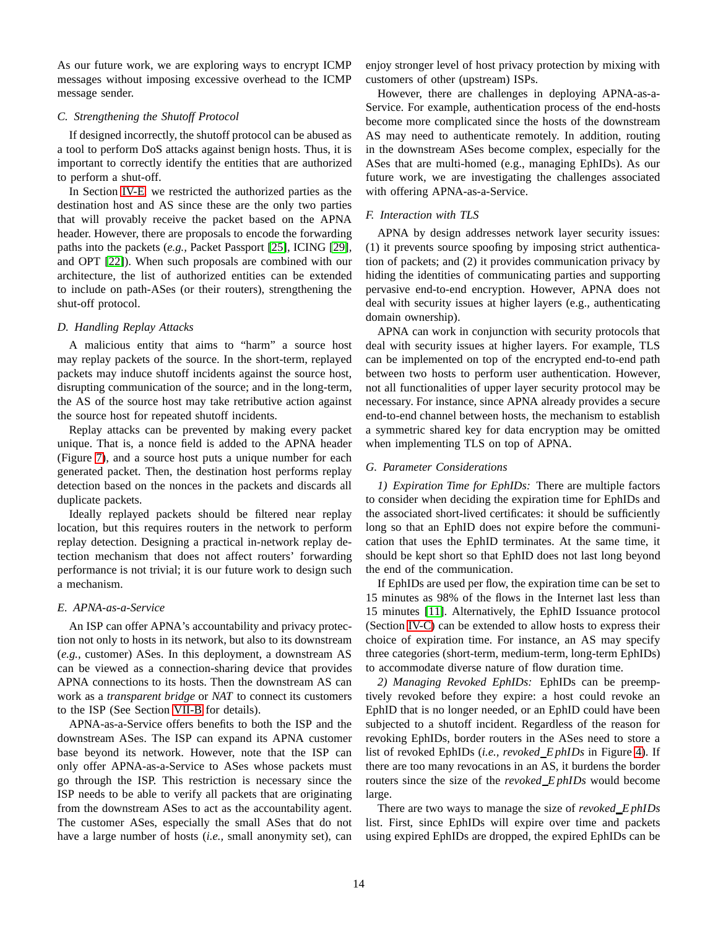As our future work, we are exploring ways to encrypt ICMP messages without imposing excessive overhead to the ICMP message sender.

## <span id="page-13-1"></span>*C. Strengthening the Shutoff Protocol*

If designed incorrectly, the shutoff protocol can be abused as a tool to perform DoS attacks against benign hosts. Thus, it is important to correctly identify the entities that are authorized to perform a shut-off.

In Section [IV-E,](#page-6-0) we restricted the authorized parties as the destination host and AS since these are the only two parties that will provably receive the packet based on the APNA header. However, there are proposals to encode the forwarding paths into the packets (*e.g.,* Packet Passport [\[25\]](#page-15-20), ICING [\[29\]](#page-15-21), and OPT [\[22\]](#page-15-22)). When such proposals are combined with our architecture, the list of authorized entities can be extended to include on path-ASes (or their routers), strengthening the shut-off protocol.

## *D. Handling Replay Attacks*

A malicious entity that aims to "harm" a source host may replay packets of the source. In the short-term, replayed packets may induce shutoff incidents against the source host, disrupting communication of the source; and in the long-term, the AS of the source host may take retributive action against the source host for repeated shutoff incidents.

Replay attacks can be prevented by making every packet unique. That is, a nonce field is added to the APNA header (Figure [7\)](#page-8-0), and a source host puts a unique number for each generated packet. Then, the destination host performs replay detection based on the nonces in the packets and discards all duplicate packets.

Ideally replayed packets should be filtered near replay location, but this requires routers in the network to perform replay detection. Designing a practical in-network replay detection mechanism that does not affect routers' forwarding performance is not trivial; it is our future work to design such a mechanism.

## <span id="page-13-0"></span>*E. APNA-as-a-Service*

An ISP can offer APNA's accountability and privacy protection not only to hosts in its network, but also to its downstream (*e.g.,* customer) ASes. In this deployment, a downstream AS can be viewed as a connection-sharing device that provides APNA connections to its hosts. Then the downstream AS can work as a *transparent bridge* or *NAT* to connect its customers to the ISP (See Section [VII-B](#page-10-0) for details).

APNA-as-a-Service offers benefits to both the ISP and the downstream ASes. The ISP can expand its APNA customer base beyond its network. However, note that the ISP can only offer APNA-as-a-Service to ASes whose packets must go through the ISP. This restriction is necessary since the ISP needs to be able to verify all packets that are originating from the downstream ASes to act as the accountability agent. The customer ASes, especially the small ASes that do not have a large number of hosts (*i.e.,* small anonymity set), can enjoy stronger level of host privacy protection by mixing with customers of other (upstream) ISPs.

However, there are challenges in deploying APNA-as-a-Service. For example, authentication process of the end-hosts become more complicated since the hosts of the downstream AS may need to authenticate remotely. In addition, routing in the downstream ASes become complex, especially for the ASes that are multi-homed (e.g., managing EphIDs). As our future work, we are investigating the challenges associated with offering APNA-as-a-Service.

## *F. Interaction with TLS*

APNA by design addresses network layer security issues: (1) it prevents source spoofing by imposing strict authentication of packets; and (2) it provides communication privacy by hiding the identities of communicating parties and supporting pervasive end-to-end encryption. However, APNA does not deal with security issues at higher layers (e.g., authenticating domain ownership).

APNA can work in conjunction with security protocols that deal with security issues at higher layers. For example, TLS can be implemented on top of the encrypted end-to-end path between two hosts to perform user authentication. However, not all functionalities of upper layer security protocol may be necessary. For instance, since APNA already provides a secure end-to-end channel between hosts, the mechanism to establish a symmetric shared key for data encryption may be omitted when implementing TLS on top of APNA.

## *G. Parameter Considerations*

*1) Expiration Time for EphIDs:* There are multiple factors to consider when deciding the expiration time for EphIDs and the associated short-lived certificates: it should be sufficiently long so that an EphID does not expire before the communication that uses the EphID terminates. At the same time, it should be kept short so that EphID does not last long beyond the end of the communication.

If EphIDs are used per flow, the expiration time can be set to 15 minutes as 98% of the flows in the Internet last less than 15 minutes [\[11\]](#page-15-23). Alternatively, the EphID Issuance protocol (Section [IV-C\)](#page-4-2) can be extended to allow hosts to express their choice of expiration time. For instance, an AS may specify three categories (short-term, medium-term, long-term EphIDs) to accommodate diverse nature of flow duration time.

*2) Managing Revoked EphIDs:* EphIDs can be preemptively revoked before they expire: a host could revoke an EphID that is no longer needed, or an EphID could have been subjected to a shutoff incident. Regardless of the reason for revoking EphIDs, border routers in the ASes need to store a list of revoked EphIDs (*i.e., revoked E phIDs* in Figure [4\)](#page-6-1). If there are too many revocations in an AS, it burdens the border routers since the size of the *revoked E phIDs* would become large.

There are two ways to manage the size of *revoked E phIDs* list. First, since EphIDs will expire over time and packets using expired EphIDs are dropped, the expired EphIDs can be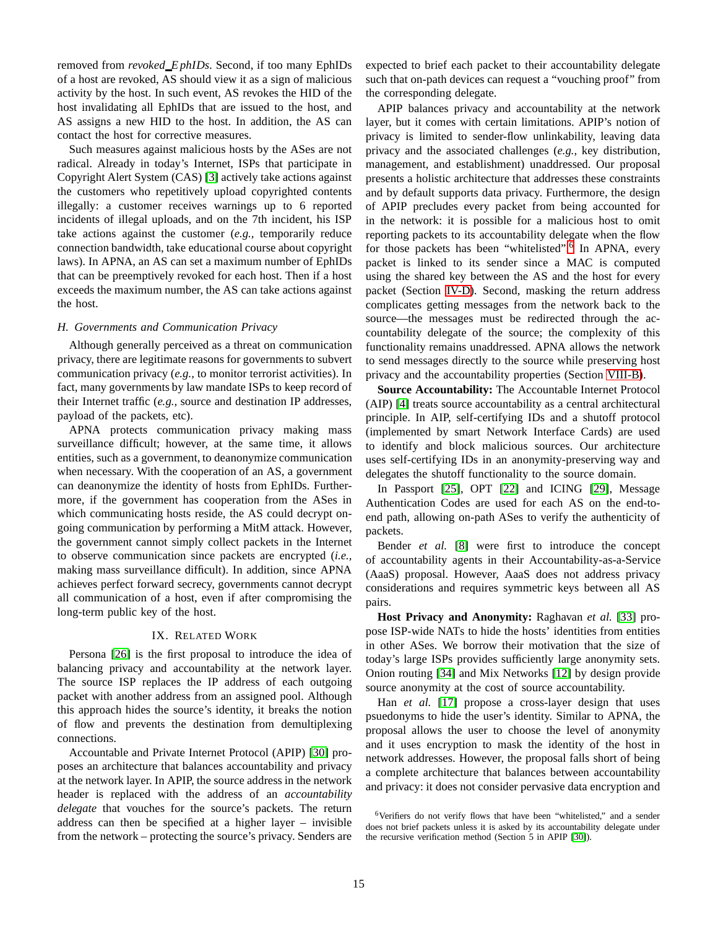removed from *revoked E phIDs*. Second, if too many EphIDs of a host are revoked, AS should view it as a sign of malicious activity by the host. In such event, AS revokes the HID of the host invalidating all EphIDs that are issued to the host, and AS assigns a new HID to the host. In addition, the AS can contact the host for corrective measures.

Such measures against malicious hosts by the ASes are not radical. Already in today's Internet, ISPs that participate in Copyright Alert System (CAS) [\[3\]](#page-15-24) actively take actions against the customers who repetitively upload copyrighted contents illegally: a customer receives warnings up to 6 reported incidents of illegal uploads, and on the 7th incident, his ISP take actions against the customer (*e.g.,* temporarily reduce connection bandwidth, take educational course about copyright laws). In APNA, an AS can set a maximum number of EphIDs that can be preemptively revoked for each host. Then if a host exceeds the maximum number, the AS can take actions against the host.

## *H. Governments and Communication Privacy*

Although generally perceived as a threat on communication privacy, there are legitimate reasons for governments to subvert communication privacy (*e.g.,* to monitor terrorist activities). In fact, many governments by law mandate ISPs to keep record of their Internet traffic (*e.g.,* source and destination IP addresses, payload of the packets, etc).

APNA protects communication privacy making mass surveillance difficult; however, at the same time, it allows entities, such as a government, to deanonymize communication when necessary. With the cooperation of an AS, a government can deanonymize the identity of hosts from EphIDs. Furthermore, if the government has cooperation from the ASes in which communicating hosts reside, the AS could decrypt ongoing communication by performing a MitM attack. However, the government cannot simply collect packets in the Internet to observe communication since packets are encrypted (*i.e.,* making mass surveillance difficult). In addition, since APNA achieves perfect forward secrecy, governments cannot decrypt all communication of a host, even if after compromising the long-term public key of the host.

## IX. RELATED WORK

Persona [\[26\]](#page-15-25) is the first proposal to introduce the idea of balancing privacy and accountability at the network layer. The source ISP replaces the IP address of each outgoing packet with another address from an assigned pool. Although this approach hides the source's identity, it breaks the notion of flow and prevents the destination from demultiplexing connections.

Accountable and Private Internet Protocol (APIP) [\[30\]](#page-15-1) proposes an architecture that balances accountability and privacy at the network layer. In APIP, the source address in the network header is replaced with the address of an *accountability delegate* that vouches for the source's packets. The return address can then be specified at a higher layer – invisible from the network – protecting the source's privacy. Senders are

expected to brief each packet to their accountability delegate such that on-path devices can request a "vouching proof" from the corresponding delegate.

APIP balances privacy and accountability at the network layer, but it comes with certain limitations. APIP's notion of privacy is limited to sender-flow unlinkability, leaving data privacy and the associated challenges (*e.g.,* key distribution, management, and establishment) unaddressed. Our proposal presents a holistic architecture that addresses these constraints and by default supports data privacy. Furthermore, the design of APIP precludes every packet from being accounted for in the network: it is possible for a malicious host to omit reporting packets to its accountability delegate when the flow for those packets has been "whitelisted".<sup>[6](#page-14-0)</sup> In APNA, every packet is linked to its sender since a MAC is computed using the shared key between the AS and the host for every packet (Section [IV-D\)](#page-5-3). Second, masking the return address complicates getting messages from the network back to the source—the messages must be redirected through the accountability delegate of the source; the complexity of this functionality remains unaddressed. APNA allows the network to send messages directly to the source while preserving host privacy and the accountability properties (Section [VIII-B\)](#page-12-2).

**Source Accountability:** The Accountable Internet Protocol (AIP) [\[4\]](#page-15-5) treats source accountability as a central architectural principle. In AIP, self-certifying IDs and a shutoff protocol (implemented by smart Network Interface Cards) are used to identify and block malicious sources. Our architecture uses self-certifying IDs in an anonymity-preserving way and delegates the shutoff functionality to the source domain.

In Passport [\[25\]](#page-15-20), OPT [\[22\]](#page-15-22) and ICING [\[29\]](#page-15-21), Message Authentication Codes are used for each AS on the end-toend path, allowing on-path ASes to verify the authenticity of packets.

Bender *et al.* [\[8\]](#page-15-26) were first to introduce the concept of accountability agents in their Accountability-as-a-Service (AaaS) proposal. However, AaaS does not address privacy considerations and requires symmetric keys between all AS pairs.

**Host Privacy and Anonymity:** Raghavan *et al.* [\[33\]](#page-16-5) propose ISP-wide NATs to hide the hosts' identities from entities in other ASes. We borrow their motivation that the size of today's large ISPs provides sufficiently large anonymity sets. Onion routing [\[34\]](#page-16-0) and Mix Networks [\[12\]](#page-15-27) by design provide source anonymity at the cost of source accountability.

Han *et al.* [\[17\]](#page-15-28) propose a cross-layer design that uses psuedonyms to hide the user's identity. Similar to APNA, the proposal allows the user to choose the level of anonymity and it uses encryption to mask the identity of the host in network addresses. However, the proposal falls short of being a complete architecture that balances between accountability and privacy: it does not consider pervasive data encryption and

<span id="page-14-0"></span><sup>6</sup>Verifiers do not verify flows that have been "whitelisted," and a sender does not brief packets unless it is asked by its accountability delegate under the recursive verification method (Section 5 in APIP [\[30\]](#page-15-1)).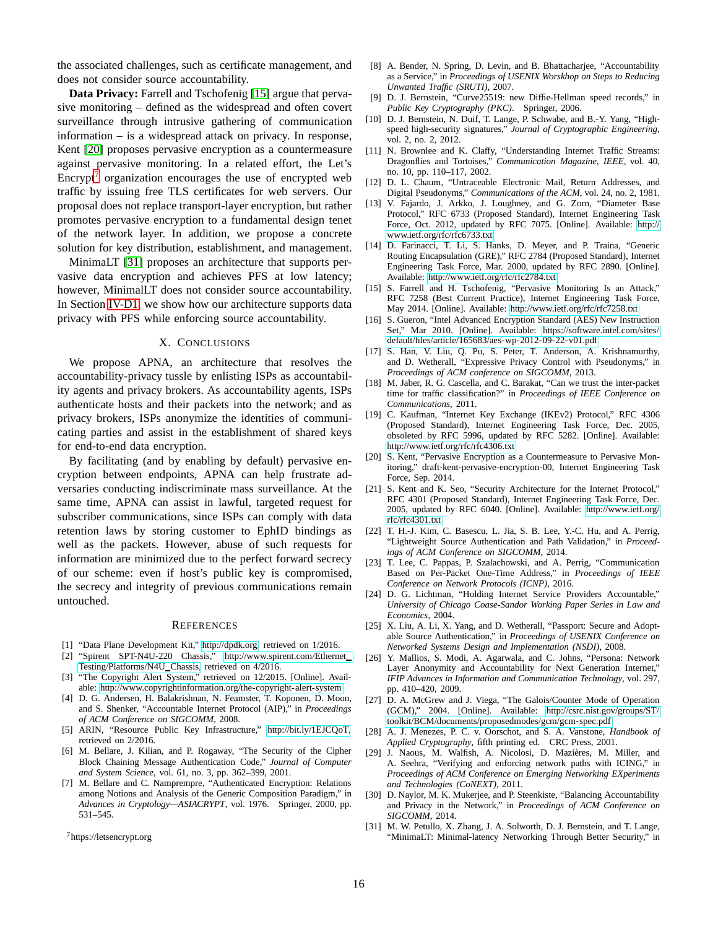the associated challenges, such as certificate management, and does not consider source accountability.

**Data Privacy:** Farrell and Tschofenig [\[15\]](#page-15-0) argue that pervasive monitoring – defined as the widespread and often covert surveillance through intrusive gathering of communication information – is a widespread attack on privacy. In response, Kent [\[20\]](#page-15-29) proposes pervasive encryption as a countermeasure against pervasive monitoring. In a related effort, the Let's Encrypt<sup> $\prime$ </sup> organization encourages the use of encrypted web traffic by issuing free TLS certificates for web servers. Our proposal does not replace transport-layer encryption, but rather promotes pervasive encryption to a fundamental design tenet of the network layer. In addition, we propose a concrete solution for key distribution, establishment, and management.

MinimaLT [\[31\]](#page-15-31) proposes an architecture that supports pervasive data encryption and achieves PFS at low latency; however, MinimalLT does not consider source accountability. In Section [IV-D1,](#page-5-1) we show how our architecture supports data privacy with PFS while enforcing source accountability.

## X. CONCLUSIONS

We propose APNA, an architecture that resolves the accountability-privacy tussle by enlisting ISPs as accountability agents and privacy brokers. As accountability agents, ISPs authenticate hosts and their packets into the network; and as privacy brokers, ISPs anonymize the identities of communicating parties and assist in the establishment of shared keys for end-to-end data encryption.

By facilitating (and by enabling by default) pervasive encryption between endpoints, APNA can help frustrate adversaries conducting indiscriminate mass surveillance. At the same time, APNA can assist in lawful, targeted request for subscriber communications, since ISPs can comply with data retention laws by storing customer to EphID bindings as well as the packets. However, abuse of such requests for information are minimized due to the perfect forward secrecy of our scheme: even if host's public key is compromised, the secrecy and integrity of previous communications remain untouched.

#### **REFERENCES**

- <span id="page-15-16"></span><span id="page-15-15"></span>[1] "Data Plane Development Kit," [http://dpdk.org,](http://dpdk.org) retrieved on 1/2016.
- [2] "Spirent SPT-N4U-220 Chassis," [http://www.spirent.com/Ethernet](http://www.spirent.com/Ethernet_Testing/Platforms/N4U_Chassis) [Testing/Platforms/N4U](http://www.spirent.com/Ethernet_Testing/Platforms/N4U_Chassis) Chassis, retrieved on 4/2016.
- <span id="page-15-24"></span>[3] "The Copyright Alert System," retrieved on 12/2015. [Online]. Available:<http://www.copyrightinformation.org/the-copyright-alert-system>
- <span id="page-15-5"></span>[4] D. G. Andersen, H. Balakrishnan, N. Feamster, T. Koponen, D. Moon, and S. Shenker, "Accountable Internet Protocol (AIP)," in *Proceedings of ACM Conference on SIGCOMM*, 2008.
- <span id="page-15-9"></span>[5] ARIN, "Resource Public Key Infrastructure," [http://bit.ly/1EJCQoT,](http://bit.ly/1EJCQoT) retrieved on 2/2016.
- <span id="page-15-17"></span>[6] M. Bellare, J. Kilian, and P. Rogaway, "The Security of the Cipher Block Chaining Message Authentication Code," *Journal of Computer and System Science*, vol. 61, no. 3, pp. 362–399, 2001.
- <span id="page-15-11"></span>[7] M. Bellare and C. Namprempre, "Authenticated Encryption: Relations among Notions and Analysis of the Generic Composition Paradigm," in *Advances in Cryptology—ASIACRYPT*, vol. 1976. Springer, 2000, pp. 531–545.

<span id="page-15-30"></span><sup>7</sup>https://letsencrypt.org

- <span id="page-15-26"></span>[8] A. Bender, N. Spring, D. Levin, and B. Bhattacharjee, "Accountability as a Service," in *Proceedings of USENIX Worskhop on Steps to Reducing Unwanted Traffic (SRUTI)*, 2007.
- <span id="page-15-12"></span>[9] D. J. Bernstein, "Curve25519: new Diffie-Hellman speed records," in *Public Key Cryptography (PKC)*. Springer, 2006.
- <span id="page-15-13"></span>[10] D. J. Bernstein, N. Duif, T. Lange, P. Schwabe, and B.-Y. Yang, "Highspeed high-security signatures," *Journal of Cryptographic Engineering*, vol. 2, no. 2, 2012.
- <span id="page-15-23"></span>[11] N. Brownlee and K. Claffy, "Understanding Internet Traffic Streams: Dragonflies and Tortoises," *Communication Magazine, IEEE*, vol. 40, no. 10, pp. 110–117, 2002.
- <span id="page-15-27"></span>[12] D. L. Chaum, "Untraceable Electronic Mail, Return Addresses, and Digital Pseudonyms," *Communications of the ACM*, vol. 24, no. 2, 1981.
- <span id="page-15-10"></span>[13] V. Fajardo, J. Arkko, J. Loughney, and G. Zorn, "Diameter Base Protocol," RFC 6733 (Proposed Standard), Internet Engineering Task Force, Oct. 2012, updated by RFC 7075. [Online]. Available: [http://](http://www.ietf.org/rfc/rfc6733.txt) [www.ietf.org/rfc/rfc6733.txt](http://www.ietf.org/rfc/rfc6733.txt)
- <span id="page-15-18"></span>[14] D. Farinacci, T. Li, S. Hanks, D. Meyer, and P. Traina, "Generic Routing Encapsulation (GRE)," RFC 2784 (Proposed Standard), Internet Engineering Task Force, Mar. 2000, updated by RFC 2890. [Online]. Available:<http://www.ietf.org/rfc/rfc2784.txt>
- <span id="page-15-0"></span>[15] S. Farrell and H. Tschofenig, "Pervasive Monitoring Is an Attack," RFC 7258 (Best Current Practice), Internet Engineering Task Force, May 2014. [Online]. Available:<http://www.ietf.org/rfc/rfc7258.txt>
- <span id="page-15-14"></span>[16] S. Gueron, "Intel Advanced Encryption Standard (AES) New Instruction Set," Mar 2010. [Online]. Available: [https://software.intel.com/sites/](https://software.intel.com/sites/default/files/article/165683/aes-wp-2012-09-22-v01.pdf) [default/files/article/165683/aes-wp-2012-09-22-v01.pdf](https://software.intel.com/sites/default/files/article/165683/aes-wp-2012-09-22-v01.pdf)
- <span id="page-15-28"></span>[17] S. Han, V. Liu, Q. Pu, S. Peter, T. Anderson, A. Krishnamurthy, and D. Wetherall, "Expressive Privacy Control with Pseudonyms," in *Proceedings of ACM conference on SIGCOMM*, 2013.
- <span id="page-15-7"></span>[18] M. Jaber, R. G. Cascella, and C. Barakat, "Can we trust the inter-packet time for traffic classification?" in *Proceedings of IEEE Conference on Communications*, 2011.
- <span id="page-15-3"></span>[19] C. Kaufman, "Internet Key Exchange (IKEv2) Protocol," RFC 4306 (Proposed Standard), Internet Engineering Task Force, Dec. 2005, obsoleted by RFC 5996, updated by RFC 5282. [Online]. Available: <http://www.ietf.org/rfc/rfc4306.txt>
- <span id="page-15-29"></span>[20] S. Kent, "Pervasive Encryption as a Countermeasure to Pervasive Monitoring," draft-kent-pervasive-encryption-00, Internet Engineering Task Force, Sep. 2014.
- <span id="page-15-2"></span>[21] S. Kent and K. Seo, "Security Architecture for the Internet Protocol," RFC 4301 (Proposed Standard), Internet Engineering Task Force, Dec. 2005, updated by RFC 6040. [Online]. Available: [http://www.ietf.org/](http://www.ietf.org/rfc/rfc4301.txt) [rfc/rfc4301.txt](http://www.ietf.org/rfc/rfc4301.txt)
- <span id="page-15-22"></span>[22] T. H.-J. Kim, C. Basescu, L. Jia, S. B. Lee, Y.-C. Hu, and A. Perrig, "Lightweight Source Authentication and Path Validation," in *Proceedings of ACM Conference on SIGCOMM*, 2014.
- <span id="page-15-19"></span>[23] T. Lee, C. Pappas, P. Szalachowski, and A. Perrig, "Communication Based on Per-Packet One-Time Address," in *Proceedings of IEEE Conference on Network Protocols (ICNP)*, 2016.
- <span id="page-15-4"></span>[24] D. G. Lichtman, "Holding Internet Service Providers Accountable," *University of Chicago Coase-Sandor Working Paper Series in Law and Economics*, 2004.
- <span id="page-15-20"></span>[25] X. Liu, A. Li, X. Yang, and D. Wetherall, "Passport: Secure and Adoptable Source Authentication," in *Proceedings of USENIX Conference on Networked Systems Design and Implementation (NSDI)*, 2008.
- <span id="page-15-25"></span>[26] Y. Mallios, S. Modi, A. Agarwala, and C. Johns, "Persona: Network Layer Anonymity and Accountability for Next Generation Internet," *IFIP Advances in Information and Communication Technology*, vol. 297, pp. 410–420, 2009.
- <span id="page-15-8"></span>[27] D. A. McGrew and J. Viega, "The Galois/Counter Mode of Operation (GCM)," 2004. [Online]. Available: [http://csrc.nist.gov/groups/ST/](http://csrc.nist.gov/groups/ST/toolkit/BCM/documents/proposedmodes/gcm/gcm-spec.pdf) [toolkit/BCM/documents/proposedmodes/gcm/gcm-spec.pdf](http://csrc.nist.gov/groups/ST/toolkit/BCM/documents/proposedmodes/gcm/gcm-spec.pdf)
- <span id="page-15-6"></span>[28] A. J. Menezes, P. C. v. Oorschot, and S. A. Vanstone, *Handbook of Applied Cryptography*, fifth printing ed. CRC Press, 2001.
- <span id="page-15-21"></span>[29] J. Naous, M. Walfish, A. Nicolosi, D. Mazières, M. Miller, and A. Seehra, "Verifying and enforcing network paths with ICING," in *Proceedings of ACM Conference on Emerging Networking EXperiments and Technologies (CoNEXT)*, 2011.
- <span id="page-15-1"></span>[30] D. Naylor, M. K. Mukerjee, and P. Steenkiste, "Balancing Accountability and Privacy in the Network," in *Proceedings of ACM Conference on SIGCOMM*, 2014.
- <span id="page-15-31"></span>[31] M. W. Petullo, X. Zhang, J. A. Solworth, D. J. Bernstein, and T. Lange, "MinimaLT: Minimal-latency Networking Through Better Security," in